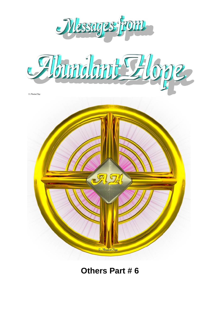

**Others Part # 6**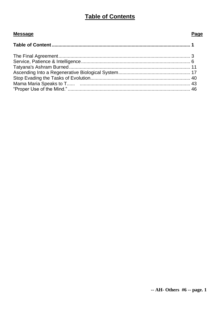# **Table of Contents**

| <b>Message</b> | Page |
|----------------|------|
|                |      |
|                |      |
|                |      |
|                |      |
|                |      |
|                |      |
|                |      |
|                |      |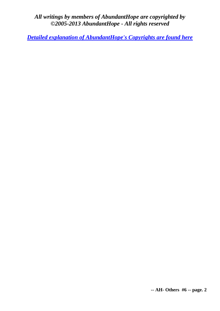## *All writings by members of AbundantHope are copyrighted by ©2005-2013 AbundantHope - All rights reserved*

*[Detailed explanation of AbundantHope's Copyrights are found here](http://abundanthope.net/pages/AbundantHope_1/Copyright_-_Terms_amp_Conditions_517.shtml)*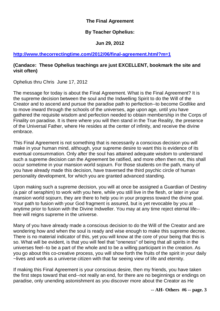#### **The Final Agreement**

#### **By Teacher Ophelius:**

#### **Jun 29, 2012**

#### **<http://www.thecorrectingtime.com/2012/06/final-agreement.html?m=1>**

#### **(Candace: These Ophelius teachings are just EXCELLENT, bookmark the site and visit often)**

Ophelius thru Chris June 17, 2012

The message for today is about the Final Agreement. What is the Final Agreement? It is the supreme decision between the soul and the Indwelling Spirit to do the Will of the Creator and to ascend and pursue the paradise path to perfection--to become Godlike and to move inward through the schools of the universes, age upon age, until you have gathered the requisite wisdom and perfection needed to obtain membership in the Corps of Finality on paradise. It is there where you will then stand in the True Reality, the presence of the Universal Father, where He resides at the center of infinity, and receive the divine embrace.

This Final Agreement is not something that is necessarily a conscious decision you will make in your human mind, although, your supreme desire to want this is evidence of its eventual consummation. Only after the soul has attained adequate wisdom to understand such a supreme decision can the Agreement be ratified, and more often then not, this shall occur sometime in your mansion world sojourn. For those students on the path, many of you have already made this decision, have traversed the third psychic circle of human personality development, for which you are granted advanced standing.

Upon making such a supreme decision, you will at once be assigned a Guardian of Destiny (a pair of seraphim) to work with you here, while you still live in the flesh, or later in your mansion world sojourn, they are there to help you in your progress toward the divine goal. Your path to fusion with your God fragment is assured, but is yet revocable by you at anytime prior to fusion with the Divine Indweller. You may at any time reject eternal life- free will reigns supreme in the universe.

Many of you have already made a conscious decision to do the Will of the Creator and are wondering how and when the soul is ready and wise enough to make this supreme decree. There is no material indicator of this, yet you will know at the core of your being that this is so. What will be evident, is that you will feel that "oneness" of being that all spirits in the universes feel--to be a part of the whole and to be a willing participant in the creation. As you go about this co-creative process, you will show forth the fruits of the spirit in your daily ~lives and work as a universe citizen with that far seeing view of life and eternity.

If making this Final Agreement is your conscious desire, then my friends, you have taken the first steps toward that end--not really an end, for there are no beginnings or endings on paradise, only unending astonishment as you discover more about the Creator as He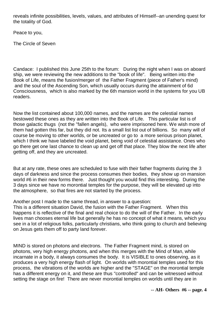reveals infinite possibilities, levels, values, and attributes of Himself--an unending quest for the totality of God.

Peace to you,

The Circle of Seven

Candace: I published this June 25th to the forum: During the night when I was on aboard ship, we were reviewing the new additions to the "book of life". Being written into the Book of Life, means the fusion/merger of the Father Fragment (piece of Father's mind) and the soul of the Ascending Son, which usually occurs during the attainment of 6d Consciousness, which is also marked by the 6th mansion world in the systems for you UB readers.

Now the list contained about 100,000 names, and the names are the celestial names bestowed these ones as they are written into the Book of Life. This particular list is of those galactic thugs (not the "fallen angels), who were imprisoned here. We wish more of them had gotten this far, but they did not. Its a small list list out of billions. So many will of course be moving to other worlds, or be uncreated or go to a more serious prison planet, which I think we have labeled the void planet, being void of celestial assistance. Ones who go there get one last chance to clean up and get off that place. They blow the next life after getting off, and they are uncreated.

But at any rate, these ones are scheduled to fuse with their father fragments during the 3 days of darkness and since the process consumes their bodies, they show up on mansion world #6 in their new forms there. Just thought you would find this interesting. During the 3 days since we have no morontial temples for the purpose, they will be elevated up into the atmosphere, so that fires are not started by the process.

Another post I made to the same thread, in answer to a question:

This is a different situation David, the fusion with the Father Fragment. When this happens it is reflective of the final and real choice to do the will of the Father. In the early lives man chooses eternal life but generally he has no concept of what it means, which you see in a lot of religious folks, particularly christians, who think going to church and believing on Jesus gets them off to party land forever.

MIND is stored on photons and electrons. The Father Fragment mind, is stored on photons, very high energy photons, and when this merges with the Mind of Man, while incarnate in a body, it always consumes the body. It is VISIBLE to ones observing, as it produces a very high energy flash of light. On worlds with morontial temples used for this process, the vibrations of the worlds are higher and the "STAGE" on the morontial temple has a different energy on it, and these are thus "controlled" and can be witnessed without setting the stage on fire! There are never morontial temples on worlds until they are in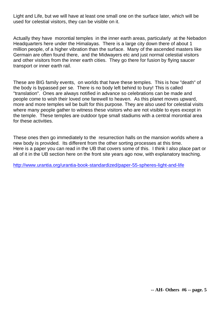Light and Life, but we will have at least one small one on the surface later, which will be used for celestial visitors, they can be visible on it.

Actually they have morontial temples in the inner earth areas, particularly at the Nebadon Headquarters here under the Himalayas. There is a large city down there of about 1 million people, of a higher vibration than the surface. Many of the ascended masters like Germain are often found there, and the Midwayers etc and just normal celestial visitors and other visitors from the inner earth cities. They go there for fusion by flying saucer transport or inner earth rail.

These are BIG family events, on worlds that have these temples. This is how "death" of the body is bypassed per se. There is no body left behind to bury! This is called "translation". Ones are always notified in advance so celebrations can be made and people come to wish their loved one farewell to heaven. As this planet moves upward, more and more temples wil be built for this purpose. They are also used for celestial visits where many people gather to witness these visitors who are not visible to eyes except in the temple. These temples are outdoor type small stadiums with a central morontial area for these activities.

These ones then go immediately to the resurrection halls on the mansion worlds where a new body is provided. Its different from the other sorting processes at this time. Here is a paper you can read in the UB that covers some of this. I think I also place part or all of it in the UB section here on the front site years ago now, with explanatory teaching.

<http://www.urantia.org/urantia-book-standardized/paper-55-spheres-light-and-life>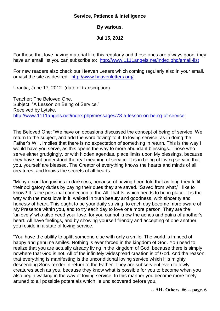#### **Service, Patience & Intelligence**

**By various.**

**Jul 15, 2012**

For those that love having material like this regularly and these ones are always good, they have an email list you can subscribe to: <http://www.1111angels.net/index.php/email-list>

For new readers also check out Heaven Letters which coming regularly also in your email, or visit the site as desired. <http://www.heavenletters.org/>

Urantia, June 17, 2012. (date of transcription).

Teacher: The Beloved One. Subject: "A Lesson on Being of Service." Received by Lytske. <http://www.1111angels.net/index.php/messages/78-a-lesson-on-being-of-service>

The Beloved One: "We have on occasions discussed the concept of being of service. We return to the subject, and add the word 'loving' to it. In loving service, as in doing the Father's Will, implies that there is no expectation of something in return. This is the way I would have you serve, as this opens the way to more abundant blessings. Those who serve either grudgingly, or with hidden agendas, place limits upon My blessings, because they have not understood the real meaning of service. It is in being of loving service that you, yourself are blessed. The Creator of everything knows the hearts and minds of all creatures, and knows the secrets of all hearts.

"Many a soul languishes in darkness, because of having been told that as long they fulfil their obligatory duties by paying their dues they are saved. 'Saved from what,' I like to know? It is the personal connection to the All That Is, which needs to be in place. It is the way with the most love in it, walked in truth beauty and goodness, with sincerity and honesty of heart. This ought to be your daily striving, to each day become more aware of My Presence within you, and to try each day to love one more person. They are the 'unlovely' who also need your love, for you cannot know the aches and pains of another's heart. All have feelings, and by showing yourself friendly and accepting of one another, you reside in a state of loving service.

"You have the ability to uplift someone else with only a smile. The world is in need of happy and genuine smiles. Nothing is ever forced in the kingdom of God. You need to realize that you are actually already living in the kingdom of God, because there is simply nowhere that God is not. All of the infinitely widespread creation is of God. And the reason that everything is manifesting is the unconditional loving service which His mighty descending Sons render in return to the Father. They are subservient even to lowly creatures such as you, because they know what is possible for you to become when you also begin walking in the way of loving service. In this manner you become more finely attuned to all possible potentials which lie undiscovered before you.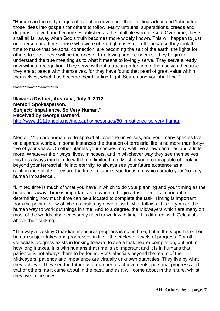"Humans in the early stages of evolution developed their fictitious ideas and 'fabricated' those ideas into gospels for others to follow. Many untruths, superstitions, creeds and dogmas evolved and became established as the infallible word of God. Over time, these shall all fall away when God's truth becomes more widely known. This will happen to just one person at a time. Those who were offered glimpses of truth, because they took the time to make that personal connection, are becoming the salt of the earth, the lights for others to see. These will be the ones of true loving service because they begin to understand the true meaning as to what it means to lovingly serve. They serve already now without recognition. They serve without attracting attention to themselves, because they are at peace with themselves, for they have found that pearl of great value within themselves, which has become their Guiding Light. Search and you shall find."

\*\*\*\*\*\*\*\*\*\*\*\*\*\*\*\*\*\*\*\*\*\*\*\*

**Illawarra District, Australia, July 9, 2012. Mentori Spokesperson. Subject:"Impatience, So Very Human." Received by George Barnard.** <http://www.1111angels.net/index.php/messages/80-impatience-so-very-human>

Mentor: "You are human, wide-spread all over the universes, and your many species live on disparate worlds. In some instances the duration of terrestrial life is no more than fortyfive of your years. On other planets your species may well live a few centuries and a little more. Whatever their ways, lives, mindsets, and in whichever way they see themselves, this has always much to do with time, limited time. Most of you are incapable of 'looking beyond your terrestrial life into eternity' to always see your future existence as a continuance of life. They are the time limitations you focus on, which create your 'so very human impatience'.

"Limited time is much of what you have in which to do your planning and your timing as the hours tick away. Time is important as to when to begin a task. Time is important in determining how much time can be allocated to complete the task. Timing is important from the point of view of when a task may dovetail with what follows. It is very much the human way to work out things in time. And to a degree, the Midwayers which are many on most of the worlds also necessarily need to work with time. It is different with Celestials above their ranking.

"The way a Destiny Guardian measures progress is not in time, but in the steps his or her human subject takes and progresses in life – the circles or levels of progress. For other Celestials progress exists in looking forward to see a task nearer completion, but not in how long it takes. It is with humans that time is so important and it is in humans that patience is not always there to be found. For Celestials beyond the realm of the Midwayers, patience and impatience are virtually unknown quantities. They live by what they achieve. They see the future as a number of achievements, personal progress and that of others, as it came about in the past, and as it will come about in the future, whilst they live in the now.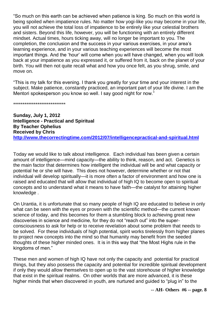"So much on this earth can be achieved when patience is king. So much on this world is being spoiled when impatience rules. No matter how yogi-like you may become in your life, you will not achieve the total loss of impatience to be entirely like your celestial brothers and sisters. Beyond this life, however, you will be functioning with an entirely different mindset. Actual times, hours ticking away, will no longer be important to you. The completion, the conclusion and the success in your various exercises, in your area's learning experience, and in your various teaching experiences will become the most important things. And the 'hour' will come when you will have changed, when you will look back at your impatience as you expressed it, or suffered from it, back on the planet of your birth. You will then not quite recall what and how you once felt, as you shrug, smile, and move on.

"This is my talk for this evening. I thank you greatly for your time and your interest in the subject. Make patience, constantly practiced, an important part of your life divine. I am the Mentori spokesperson you know so well. I say good night for now."

\*\*\*\*\*\*\*\*\*\*\*\*\*\*\*\*\*\*\*\*\*\*\*\*\*\*\*\*

**Sunday, July 1, 2012 Intelligence - Practical and Spiritual By Teacher Ophelius Received by Chris <http://www.thecorrectingtime.com/2012/07/intelligencepractical-and-spiritual.html>**

Today we would like to talk about intelligence. Each individual has been given a certain amount of intelligence—mind capacity—the ability to think, reason, and act. Genetics is the main factor that determines how intelligent the individual will be and what capacity or potential he or she will have. This does not however, determine whether or not that individual will develop spiritually—it is more often a factor of environment and how one is raised and educated that will allow that individual of high IQ to become open to spiritual concepts and to understand what it means to have faith—the catalyst for attaining higher knowledge .

On Urantia, it is unfortunate that so many people of high IQ are educated to believe in only what can be seen with the eyes or proven with the scientific method—the current known science of today, and this becomes for them a stumbling block to achieving great new discoveries in science and medicine, for they do not "reach out" into the superconsciousness to ask for help or to receive revelation about some problem that needs to be solved. For these individuals of high potential, spirit works tirelessly from higher planes to project new concepts into the mind so that humanity may benefit from the seeded thoughts of these higher minded ones. It is in this way that "the Most Highs rule in the kingdoms of men."

These men and women of high IQ have not only the capacity and potential for practical things, but they also possess the capacity and potential for incredible spiritual development if only they would allow themselves to open up to the vast storehouse of higher knowledge that exist in the spiritual realms. On other worlds that are more advanced, it is these higher minds that when discovered in youth, are nurtured and guided to "plug in" to the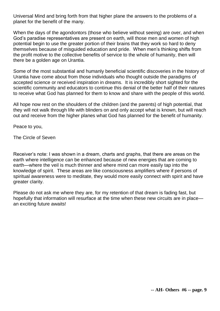Universal Mind and bring forth from that higher plane the answers to the problems of a planet for the benefit of the many.

When the days of the agondontors (those who believe without seeing) are over, and when God's paradise representatives are present on earth, will those men and women of high potential begin to use the greater portion of their brains that they work so hard to deny themselves because of misguided education and pride. When men's thinking shifts from the profit motive to the collective benefits of service to the whole of humanity, then will there be a golden age on Urantia.

Some of the most substantial and humanly beneficial scientific discoveries in the history of Urantia have come about from those individuals who thought outside the paradigms of accepted science or received inspiration in dreams. It is incredibly short sighted for the scientific community and educators to continue this denial of the better half of their natures to receive what God has planned for them to know and share with the people of this world.

All hope now rest on the shoulders of the children (and the parents) of high potential, that they will not walk through life with blinders on and only accept what is known, but will reach out and receive from the higher planes what God has planned for the benefit of humanity.

Peace to you,

The Circle of Seven

Receiver's note: I was shown in a dream, charts and graphs, that there are areas on the earth where intelligence can be enhanced because of new energies that are coming to earth—where the veil is much thinner and where mind can more easily tap into the knowledge of spirit. These areas are like consciousness amplifiers where if persons of spiritual awareness were to meditate, they would more easily connect with spirit and have greater clarity.

Please do not ask me where they are, for my retention of that dream is fading fast, but hopefully that information will resurface at the time when these new circuits are in place an exciting future awaits!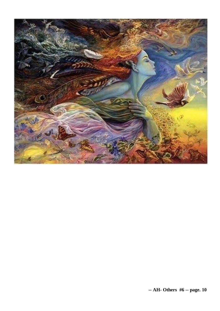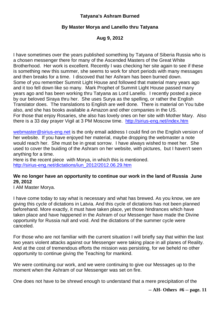### **Tatyana's Ashram Burned**

### **By Master Morya and Lanello thru Tatyana**

### **Aug 9, 2012**

I have sometimes over the years published something by Tatyana of Siberia Russia who is a chosen messenger there for many of the Ascended Masters of the Great White Brotherhood. Her work is excellent. Recently I was checking her site again to see if these is something new this summer, she seems to work for short periods with many messages and then breaks for a time. I discoved that her Ashram has been burned down. Some of you remember Summit Light House and followed that material many years ago and it too fell down like so many. Mark Prophet of Summit Light House passed many years ago and has been working thru Tatyana as Lord Lanello. I recently posted a piece by our beloved Siraya thru her. She uses Surya as the spelling, or rather the English Translator does. The translations to English are well done. There is material on You tube also, and she has books available a Amazon and other companies in the US. For those that enjoy Rosaries, she also has lovely ones on her site with Mother Mary. Also there is a 33 day prayer Vigil at 3 PM Moscow time. <http://sirius-eng.net/index.htm>

[webmaster@sirius-eng.net](mailto:webmaster@sirius-eng.net) is the only email address I could find on the English version of her website. If you have enjoyed her material, maybe dropping the webmaster a note would reach her. She must be in great sorrow. I have always wished to meet her. She used to cover the buiding of the Ashram on her website, with pictures, but I haven't seen anything for a time.

Here is the recent piece with Morya, in which this is mentioned. [http://sirius-eng.net/dictations/iun\\_2012/2012.06.29.htm](http://sirius-eng.net/dictations/iun_2012/2012.06.29.htm)

### **We no longer have an opportunity to continue our work in the land of Russia June 29, 2012**

I AM Master Morya.

I have come today to say what is necessary and what has brewed. As you know, we are giving this cycle of dictations in Latvia. And this cycle of dictations has not been planned beforehand. More exactly, it must have taken place, yet those hindrances which have taken place and have happened in the Ashram of our Messenger have made the Divine opportunity for Russia null and void. And the dictations of the summer cycle were canceled.

For those who are not familiar with the current situation I will briefly say that within the last two years violent attacks against our Messenger were taking place in all planes of Reality. And at the cost of tremendous efforts the mission was persisting, for we beheld no other opportunity to continue giving the Teaching for mankind.

We were continuing our work, and we were continuing to give our Messages up to the moment when the Ashram of our Messenger was set on fire.

One does not have to be shrewd enough to understand that a mere precipitation of the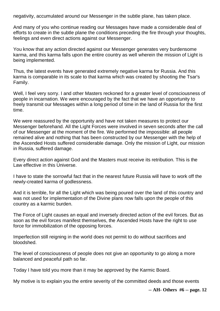negativity, accumulated around our Messenger in the subtle plane, has taken place.

And many of you who continue reading our Messages have made a considerable deal of efforts to create in the subtle plane the conditions preceding the fire through your thoughts, feelings and even direct actions against our Messenger.

You know that any action directed against our Messenger generates very burdensome karma, and this karma falls upon the entire country as well wherein the mission of Light is being implemented.

Thus, the latest events have generated extremely negative karma for Russia. And this karma is comparable in its scale to that karma which was created by shooting the Tsar's Family.

Well, I feel very sorry. I and other Masters reckoned for a greater level of consciousness of people in incarnation. We were encouraged by the fact that we have an opportunity to freely transmit our Messages within a long period of time in the land of Russia for the first time.

We were reassured by the opportunity and have not taken measures to protect our Messenger beforehand. All the Light Forces were involved in seven seconds after the call of our Messenger at the moment of the fire. We performed the impossible: all people remained alive and nothing that has been constructed by our Messenger with the help of the Ascended Hosts suffered considerable damage. Only the mission of Light, our mission in Russia, suffered damage.

Every direct action against God and the Masters must receive its retribution. This is the Law effective in this Universe.

I have to state the sorrowful fact that in the nearest future Russia will have to work off the newly-created karma of godlessness.

And it is terrible, for all the Light which was being poured over the land of this country and was not used for implementation of the Divine plans now falls upon the people of this country as a karmic burden.

The Force of Light causes an equal and inversely directed action of the evil forces. But as soon as the evil forces manifest themselves, the Ascended Hosts have the right to use force for immobilization of the opposing forces.

Imperfection still reigning in the world does not permit to do without sacrifices and bloodshed.

The level of consciousness of people does not give an opportunity to go along a more balanced and peaceful path so far.

Today I have told you more than it may be approved by the Karmic Board.

My motive is to explain you the entire severity of the committed deeds and those events

**-- AH- Others #6 -- page. 12**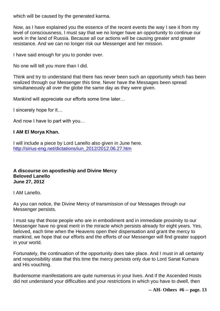which will be caused by the generated karma.

Now, as I have explained you the essence of the recent events the way I see it from my level of consciousness, I must say that we no longer have an opportunity to continue our work in the land of Russia. Because all our actions will be causing greater and greater resistance. And we can no longer risk our Messenger and her mission.

I have said enough for you to ponder over.

No one will tell you more than I did.

Think and try to understand that there has never been such an opportunity which has been realized through our Messenger this time. Never have the Messages been spread simultaneously all over the globe the same day as they were given.

Mankind will appreciate our efforts some time later…

I sincerely hope for it…

And now I have to part with you…

#### **I AM El Morya Khan.**

I will include a piece by Lord Lanello also given in June here. [http://sirius-eng.net/dictations/iun\\_2012/2012.06.27.htm](http://sirius-eng.net/dictations/iun_2012/2012.06.27.htm)

#### **A discourse on apostleship and Divine Mercy Beloved Lanello June 27, 2012**

I AM Lanello.

As you can notice, the Divine Mercy of transmission of our Messages through our Messenger persists.

I must say that those people who are in embodiment and in immediate proximity to our Messenger have no great merit in the miracle which persists already for eight years. Yes, beloved, each time when the Heavens open their dispensation and grant the mercy to mankind, we hope that our efforts and the efforts of our Messenger will find greater support in your world.

Fortunately, the continuation of the opportunity does take place. And I must in all certainty and responsibility state that this time the mercy persists only due to Lord Sanat Kumara and His vouching.

Burdensome manifestations are quite numerous in your lives. And if the Ascended Hosts did not understand your difficulties and your restrictions in which you have to dwell, then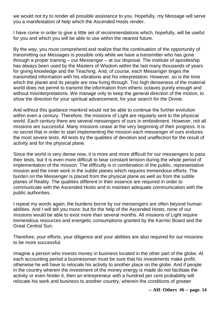we would not try to render all possible assistance to you. Hopefully, my Message will serve you a manifestation of help which the Ascended Hosts render.

I have come in order to give a little set of recommendations which, hopefully, will be useful for you and which you will be able to use within the nearest future.

By the way, you must comprehend and realize that the continuation of the opportunity of transmitting our Messages is possible only while we have a transmitter who has gone through a proper training – our Messenger – at our disposal. The institute of apostleship has always been used by the Masters of Wisdom within the last many thousands of years for giving knowledge and the Teaching. And, of course, each Messenger tinges the transmitted information with his vibrations and his interpretation. However, so is the time which the planet and its people are now living through. Too high denseness of the material world does not permit to transmit the information from etheric octaves purely enough and without misinterpretations. We manage only to keep the general direction of the motion, to show the direction for your spiritual advancement, for your search for the Divine.

And without this guidance mankind would not be able to continue the further evolution within even a century. Therefore, the missions of Light are regularly sent to the physical world. Each century there are several messengers of ours in embodiment. However, not all missions are successful. Many missions cease at the very beginning of their progress. It is no secret that in order to start implementing the mission each messenger of ours endures the most severe tests. All tests try the qualities of devotion and unaffection for the result of activity and for the physical plane.

Since the world is very dense now, it is more and more difficult for our messengers to pass their tests, but it is even more difficult to bear constant tension during the whole period of implementation of the mission. The difficulty is in combination of the public, representative mission and the inner work in the subtle planes which requires tremendous efforts. The burden on the Messenger is placed from the physical plane as well as from the subtle planes of Reality. The qualities different in their essence are required in order to communicate with the Ascended Hosts and to maintain adequate communication with the public authorities.

I repeat my words again, the burdens borne by our messengers are often beyond human abilities. And I will tell you more: but for the help of the Ascended Hosts, none of our missions would be able to exist more than several months. All missions of Light require tremendous resources and energetic consumptions granted by the Karmic Board and the Great Central Sun.

Therefore, your efforts, your diligence and your abilities are also required for our missions to be more successful.

Imagine a person who invests money in business located in the other part of the globe. At each accounting period a businessman must be sure that his investments make profit, otherwise he will have to relocate his activity to another place on the globe. And if people in the country wherein the investment of the money energy is made do not facilitate the activity or even hinder it, then an entrepreneur with a hundred per cent probability will relocate his work and business to another country, wherein the conditions of greater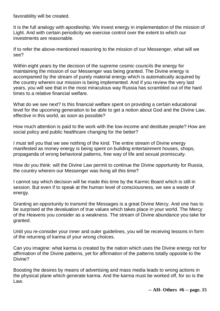favorability will be created.

It is the full analogy with apostleship. We invest energy in implementation of the mission of Light. And with certain periodicity we exercise control over the extent to which our investments are reasonable.

If to refer the above-mentioned reasoning to the mission of our Messenger, what will we see?

Within eight years by the decision of the supreme cosmic councils the energy for maintaining the mission of our Messenger was being granted. The Divine energy is accompanied by the stream of purely material energy which is automatically acquired by the country wherein our mission is being implemented. And if you review the very last years, you will see that in the most miraculous way Russia has scrambled out of the hard times to a relative financial welfare.

What do we see next? Is this financial welfare spent on providing a certain educational level for the upcoming generation to be able to get a notion about God and the Divine Law, effective in this world, as soon as possible?

How much attention is paid to the work with the low-income and destitute people? How are social policy and public healthcare changing for the better?

I must tell you that we see nothing of the kind. The entire stream of Divine energy manifested as money energy is being spent on building entertainment houses, shops, propaganda of wrong behavioral patterns, free way of life and sexual promiscuity.

How do you think: will the Divine Law permit to continue the Divine opportunity for Russia, the country wherein our Messenger was living all this time?

I cannot say which decision will be made this time by the Karmic Board which is still in session. But even if to speak at the human level of consciousness, we see a waste of energy.

Granting an opportunity to transmit the Messages is a great Divine Mercy. And one has to be surprised at the devaluation of true values which takes place in your world. The Mercy of the Heavens you consider as a weakness. The stream of Divine abundance you take for granted.

Until you re-consider your inner and outer guidelines, you will be receiving lessons in form of the returning of karma of your wrong choices.

Can you imagine: what karma is created by the nation which uses the Divine energy not for affirmation of the Divine patterns, yet for affirmation of the patterns totally opposite to the Divine?

Boosting the desires by means of advertising and mass media leads to wrong actions in the physical plane which generate karma. And the karma must be worked off, for so is the Law.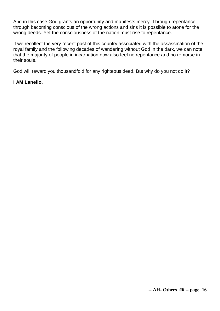And in this case God grants an opportunity and manifests mercy. Through repentance, through becoming conscious of the wrong actions and sins it is possible to atone for the wrong deeds. Yet the consciousness of the nation must rise to repentance.

If we recollect the very recent past of this country associated with the assassination of the royal family and the following decades of wandering without God in the dark, we can note that the majority of people in incarnation now also feel no repentance and no remorse in their souls.

God will reward you thousandfold for any righteous deed. But why do you not do it?

#### **I AM Lanello.**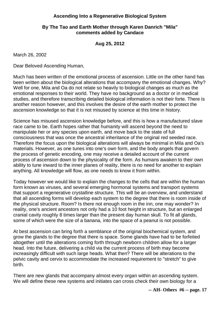### **Ascending Into a Regenerative Biological System**

#### **By The Tao and Earth Mother through Karen Danrich "Mila" comments added by Candace**

**Aug 25, 2012**

March 26, 2002

Dear Beloved Ascending Human,

Much has been written of the emotional process of ascension. Little on the other hand has been written about the biological alterations that accompany the emotional changes. Why? Well for one, Mila and Oa do not relate so heavily to biological changes as much as the emotional responses to their world. They have no background as a doctor or in medical studies, and therefore transcribing detailed biological information is not their forte. There is another reason however, and this involves the desire of the earth mother to protect the ascension knowledge so that it is not misused by science at this time in history.

Science has misused ascension knowledge before, and this is how a manufactured slave race came to be. Earth hopes rather that humanity will ascend beyond the need to manipulate her or any species upon earth, and move back to the state of full consciousness that was once the ancestral inheritance of the original red seeded race. Therefore the focus upon the biological alterations will always be minimal in Mila and Oa's materials. However, as one tunes into one's own form, and the body angels that govern the process of genetic encoding, one may receive a detailed account of the current process of ascension down to the physicality of the form. As humans awaken to their own ability to tune inward to the inner planes of reality, there is no need for another to explain anything. All knowledge will flow, as one needs to know it from within.

Today however we would like to explain the changes to the cells that are within the human form known as viruses, and several emerging hormonal systems and transport systems that support a regenerative crystalline structure. This will be an overview, and understand that all ascending forms will develop each system to the degree that there is room inside of the physical structure. Room? Is there not enough room in the inn, one may wonder? In reality, one's ancient ancestors not only had a 10 foot height in structure, but an enlarged cranial cavity roughly 8 times larger than the present day human skull. To fit all glands, some of which were the size of a banana, into the space of a peanut is not possible.

At best ascension can bring forth a semblance of the original biochemical system, and grow the glands to the degree that there is space. Some glands have had to be forfeited altogether until the alterations coming forth through newborn children allow for a larger head. Into the future, delivering a child via the current process of birth may become increasingly difficult with such large heads. What then? There will be alterations to the pelvic cavity and cervix to accommodate the increased requirement to "stretch" to give birth.

There are new glands that accompany almost every organ within an ascending system. We will define these new systems and initiates can cross check their own biology for a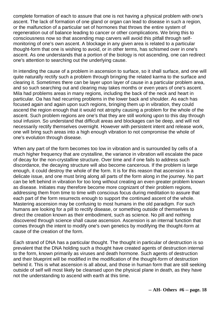complete formation of each to assure that one is not having a physical problem with one's ascent. The lack of formation of one gland or organ can lead to disease in such a region, or the malfunction of a particular set of hormones that throws the entire system of regeneration out of balance leading to cancer or other complications. We bring this to consciousness now so that ascending map carvers will avoid this pitfall through selfmonitoring of one's own ascent. A blockage in any given area is related to a particular thought-form that one is wishing to avoid, or in other terms, has schismed over in one's ascent. As one understands that a portion of the biology is not ascending, one can redirect one's attention to searching out the underlying cause.

In intending the cause of a problem in ascension to surface, so it shall surface, and one will quite naturally rectify such a problem through bringing the related karma to the surface and clearing it. Sometimes there can be layer upon layer of cause in a particular problem area, and so such searching out and clearing may takes months or even years of one's ascent. Mila had problems areas in many regions, including the back of the neck and heart in particular. Oa has had recurring problems in the lower back and shoulder. As each has focused again and again upon such regions, bringing them up in vibration, they could ascend the region enough that it would not atrophy causing a problem for the whole of the ascent. Such problem regions are one's that they are still working upon to this day through soul infusion. So understand that difficult areas and blockages can be deep, and will not necessarily rectify themselves overnight. However with persistent intent and release work, one will bring such areas into a high enough vibration to not compromise the whole of one's evolution through disease.

When any part of the form becomes too low in vibration and is surrounded by cells of a much higher frequency that are crystalline, the variance in vibration will escalate the pace of decay for the non-crystalline structure. Over time and if one fails to address such discordance, the decaying structure will also become cancerous. If the problem is large enough, it could destroy the whole of the form. It is for this reason that ascension is a delicate issue, and one must bring along all parts of the form along in the journey. No part can be left behind in vibration for too long without creating an even greater problem known as disease. Initiates may therefore become more cognizant of their problem regions, addressing them from time to time with conscious focus during meditation to assure that each part of the form resurrects enough to support the continued ascent of the whole. Mastering ascension may be confusing to most humans in the old paradigm. For such humans are looking for a pill to rectify disease, or something outside of themselves to direct the creation known as their embodiment, such as science. No pill and nothing discovered through science shall cause ascension. Ascension is an internal function that comes through the intent to modify one's own genetics by modifying the thought-form at cause of the creation of the form.

Each strand of DNA has a particular thought. The thought in particular of destruction is so prevalent that the DNA holding such a thought have created agents of destruction internal to the form, known primarily as viruses and death hormone. Such agents of destruction and their blueprint will be modified in the modification of the thought-form of destruction behind it. This is what ascension is all about, and those in human form that are still seeking outside of self will most likely be cleansed upon the physical plane in death, as they have not the understanding to ascend with earth at this time.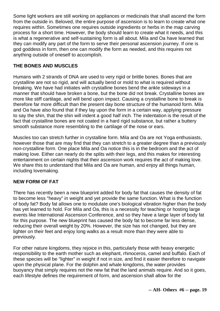Some light workers are still working on appliances or medicinals that shall ascend the form from the outside in. Beloved, the entire purpose of ascension is to learn to create what one requires within. Sometimes one requires outside ingredients or herbs in the map carving process for a short time. However, the body should learn to create what it needs, and this is what a regenerative and self-sustaining form is all about. Mila and Oa have learned that they can modify any part of the form to serve their personal ascension journey. If one is god goddess in form, then one can modify the form as needed, and this requires not anything outside of oneself to accomplish.

#### **THE BONES AND MUSCLES**

Humans with 2 strands of DNA are used to very rigid or brittle bones. Bones that are crystalline are not so rigid, and will actually bend or mold to what is required without breaking. We have had initiates with crystalline bones bend the ankle sideways in a manner that should have broken a bone, but the bone did not break. Crystalline bones are more like stiff cartilage, and will bend upon impact. Causing a crystalline bone to break is therefore far more difficult than the present day bone structure of the humanoid form. Mila and Oa have also found that if they lay upon the form in a certain way, applying pressure to say the shin, that the shin will indent a good half inch. The indentation is the result of the fact that crystalline bones are not coated in a hard rigid substance, but rather a buttery smooth substance more resembling to the cartilage of the nose or ears.

Muscles too can stretch further in crystalline form. Mila and Oa are not Yoga enthusiasts, however those that are may find that they can stretch to a greater degree than a previously non-crystalline form. One place Mila and Oa notice this is in the bedroom and the act of making love. Either can nearly do the splits with their legs, and this makes for interesting entertainment on certain nights that their ascension work requires the act of making love. We share this to understand that Mila and Oa are human, and enjoy all things human, including lovemaking.

### **NEW FORM OF FAT**

There has recently been a new blueprint added for body fat that causes the density of fat to become less "heavy" in weight and yet provide the same function. What is the function of body fat? Body fat allows one to modulate one's biological vibration higher than the body has yet learned to hold. For Mila and Oa, this is a necessity for teaching or hosting large events like International Ascension Conference, and so they have a large layer of body fat for this purpose. The new blueprint has caused the body fat to become far less dense, reducing their overall weight by 20%. However, the size has not changed, but they are lighter on their feet and enjoy long walks as a result more than they were able to previously.

For other nature kingdoms, they rejoice in this, particularly those with heavy energetic responsibility to the earth mother such as elephant, rhinoceros, camel and buffalo. Each of these species will be "lighter" in weight if not in size, and find it easier therefore to navigate upon the physical plane. For the dolphin and whale kingdoms, the water provides buoyancy that simply requires not the new fat that the land animals require. And so it goes, each lifestyle defines the requirement of form, and ascension shall allow for the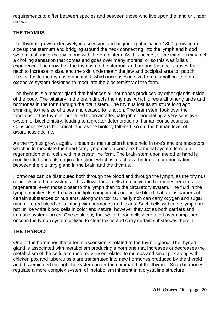requirements to differ between species and between those who live upon the land or under the water.

### **THE THYMUS**

The thymus grows extensively in ascension and beginning at initiation 1800, growing in size up the sternum and bridging around the neck connecting into the lymph and blood system just under the jaw along with the brain stem. As this occurs, some initiates may feel a choking sensation that comes and goes over many months, or so this was Mila's experience. The growth of the thymus up the sternum and around the neck causes the neck to increase in size, and the skin underneath the jaw and occipital area to "pooch". This is due to the thymus gland itself, which increases in size from a small node to an extensive system designed to modulate the biochemistry of the form.

The thymus is a master gland that balances all hormones produced by other glands inside of the body. The pituitary in the brain directs the thymus, which directs all other glands and hormones in the form through the brain stem. The thymus lost its structure long ago shrinking to the size of a pea and ceased to function. The brain stem took over the functions of the thymus, but failed to do an adequate job of modulating a very sensitive system of biochemistry, leading to a greater deterioration of human consciousness. Consciousness is biological, and as the biology faltered, so did the human level of awareness decline.

As the thymus grows again, it resumes the function it once held in one's ancient ancestors, which is to modulate the heart rate, lymph and a complex hormonal system to retain regeneration of all cells within a crystalline form. The brain stem upon the other hand is modified to handle its original function, which is to act as a bridge of communication between the pituitary gland in the brain and the thymus.

Hormones can be distributed both through the blood and through the lymph, as the thymus connects into both systems. This allows for all cells to receive the hormones requires to regenerate, even those closer to the lymph than to the circulatory system. The fluid in the lymph modifies itself to have multiple components not unlike blood that act as carriers of certain substances or nutrients, along with toxins. The lymph can carry oxygen and sugar much like red blood cells, along with hormones and toxins. Such cells within the lymph are not unlike white blood cells in color and nature, however they act as both carriers and immune system forces. One could say that white blood cells were a left over component once in the lymph system utilized to clear toxins and carry certain substances therein.

### **THE THYROID**

One of the hormones that alter in ascension is related to the thyroid gland. The thyroid gland is associated with metabolism producing a hormone that increases or decreases the metabolism of the cellular structure. Viruses related to mumps and small pox along with chicken pox and tuberculosis are transmuted into new hormones produced by the thyroid and disseminated through the system under the command of the thymus. Such hormones regulate a more complex system of metabolism inherent in a crystalline structure.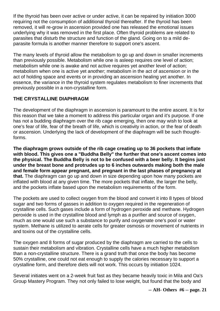If the thyroid has been over active or under active, it can be repaired by initiation 3000 requiring not the consumption of additional thyroid thereafter. If the thyroid has been removed, it will re-grow in ascension provided one has released the emotional issues underlying why it was removed in the first place. Often thyroid problems are related to parasites that disturb the structure and function of the gland. Going on to a mild deparasite formula is another manner therefore to support one's ascent.

The many levels of thyroid allow the metabolism to go up and down in smaller increments than previously possible. Metabolism while one is asleep requires one level of action; metabolism while one is awake and not active requires yet another level of action; metabolism when one is active yet another; metabolism in the act of ascension or in the act of holding space and events or in providing an ascension healing yet another. In essence, the variance in the thyroid system regulates metabolism to finer increments that previously possible in a non-crystalline form.

### **THE CRYSTALLINE DIAPHRAGM**

The development of the diaphragm in ascension is paramount to the entire ascent. It is for this reason that we take a moment to address this particular organ and it's purpose. If one has not a budding diaphragm over the rib cage emerging, then one may wish to look at one's fear of life, fear of the breath of life, which is creativity in action, or the fear of death or ascension. Underlying the lack of development of the diaphragm will be such thoughtforms.

**The diaphragm grows outside of the rib cage creating up to 36 pockets that inflate with blood. This gives one a "Buddha Belly" the further that one's ascent comes into the physical. The Buddha Belly is not to be confused with a beer belly. It begins just under the breast bone and protrudes up to 6 inches outwards making both the male and female form appear pregnant, and pregnant in the last phases of pregnancy at that.** The diaphragm can go up and down in size depending upon how many pockets are inflated with blood at any given time. The more pockets that inflate, the larger the belly, and the pockets inflate based upon the metabolism requirements of the form.

The pockets are used to collect oxygen from the blood and convert it into 8 types of blood sugar and two forms of gasses in addition to oxygen required in the regeneration of crystalline cells. Such gases include a form of hydrogen peroxide and methane. Hydrogen peroxide is used in the crystalline blood and lymph as a purifier and source of oxygen, much as one would use such a substance to purify and oxygenate one's pool or water system. Methane is utilized to aerate cells for greater osmosis or movement of nutrients in and toxins out of the crystalline cells.

The oxygen and 8 forms of sugar produced by the diaphragm are carried to the cells to sustain their metabolism and vibration. Crystalline cells have a much higher metabolism than a non-crystalline structure. There is a grand truth that once the body has become 50% crystalline, one could not eat enough to supply the calories necessary to support a crystalline form, and therefore diets will not work. This occurs by initiation 1024.

Several initiates went on a 2-week fruit fast as they became heavily toxic in Mila and Oa's Group Mastery Program. They not only failed to lose weight, but found that the body and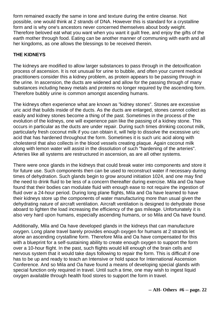form remained exactly the same in tone and texture during the entire cleanse. Not possible, one would think at 2 strands of DNA. However this is standard for a crystalline form and is why one's ancestors never concerned themselves about body weight. Therefore beloved eat what you want when you want it guilt free, and enjoy the gifts of the earth mother through food. Eating can be another manner of communing with earth and all her kingdoms, as one allows the blessings to be received therein.

### **THE KIDNEYS**

The kidneys are modified to allow larger substances to pass through in the detoxification process of ascension. It is not unusual for urine to bubble, and often your current medical practitioners consider this a kidney problem, as protein appears to be passing through in the urine. In ascension, the ducts are widened and allow for the passing through of many substances including heavy metals and proteins no longer required by the ascending form. Therefore bubbly urine is common amongst ascending humans.

The kidneys often experience what are known as "kidney stones". Stones are excessive uric acid that builds inside of the ducts. As the ducts are enlarged, stones cannot collect as easily and kidney stones become a thing of the past. Sometimes in the process of the evolution of the kidneys, one will experience pain like the passing of a kidney stone. This occurs in particular as the ducts are under repair. During such times drinking coconut milk, particularly fresh coconut milk if you can obtain it, will help to dissolve the excessive uric acid that has hardened throughout the form. Sometimes it is such uric acid along with cholesterol that also collects in the blood vessels creating plaque. Again coconut milk along with lemon water will assist in the dissolution of such "hardening of the arteries". Arteries like all systems are restructured in ascension, as are all other systems.

There were once glands in the kidneys that could break water into components and store it for future use. Such components then can be used to reconstruct water if necessary during times of dehydration. Such glands begin to grow around initiation 1024, and one may find the need to drink fluid to be less of a concern thereafter during exercise. Mila and Oa have found that their bodies can modulate fluid with enough ease to not require the ingestion of fluid over a 24-hour period. During long plane flights, Mila and Oa have learned to have their kidneys store up the components of water manufacturing more than usual given the dehydrating nature of aircraft ventilation. Aircraft ventilation is designed to dehydrate those aboard to lighten the load increasing the efficiency of the gas mileage. Unfortunately it is also very hard upon humans, especially ascending humans, or so Mila and Oa have found.

Additionally, Mila and Oa have developed glands in the kidneys that can manufacture oxygen. Long plane travel barely provides enough oxygen for humans at 2 strands let alone an ascending crystalline form. Therefore Mila and Oa have compensated for this with a blueprint for a self-sustaining ability to create enough oxygen to support the form over a 10-hour flight. In the past, such flights would kill enough of the brain cells and nervous system that it would take days following to repair the form. This is difficult if one has to be up and ready to teach an Intensive or hold space for International Ascension Conference. And so Mila and Oa have found a means of developing special glands with special function only required in travel. Until such a time, one may wish to ingest liquid oxygen available through health food stores to support the form in travel.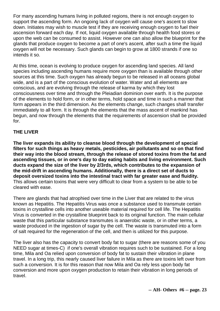For many ascending humans living in polluted regions, there is not enough oxygen to support the ascending form. An ongoing lack of oxygen will cause one's ascent to slow down. Initiates may wish to muscle test if they are receiving enough oxygen to fuel their ascension forward each day. If not, liquid oxygen available through health food stores or upon the web can be consumed to assist. However one can also allow the blueprint for the glands that produce oxygen to become a part of one's ascent, after such a time the liquid oxygen will not be necessary. Such glands can begin to grow at 1800 strands if one so intends it so.

At this time, ocean is evolving to produce oxygen for ascending land species. All land species including ascending humans require more oxygen than is available through other sources at this time. Such oxygen has already begun to be released in all oceans global wide, and is a part of the conscious evolution of water. Water and all elements are conscious, and are evolving through the release of karma by which they lost consciousness over time and through the Pleiadian dominion over earth. It is the purpose of the elements to hold form, or in other terms, hold space and time in such a manner that form appears in the third dimension. As the elements change, such changes shall transfer immediately to all form. It is through the elements that the mass ascent of mankind has begun, and now through the elements that the requirements of ascension shall be provided for.

### **THE LIVER**

**The liver expands its ability to cleanse blood through the development of special filters for such things as heavy metals, pesticides, air pollutants and so on that find their way into the blood stream, through the release of stored toxins from the fat and ascending tissues, or in one's day to day eating habits and living environment. Such ducts expand the size of the liver by 2/3rds, which contributes to the expansion of the mid-drift in ascending humans. Additionally, there is a direct set of ducts to deposit oversized toxins into the intestinal tract with far greater ease and fluidity.** This allows certain toxins that were very difficult to clear from a system to be able to be cleared with ease.

There are glands that had atrophied over time in the Liver that are related to the virus known as Hepatitis. The Hepatitis Virus was once a substance used to transmute certain toxins in crystalline cells into another useable material required for cell life. The Hepatitis Virus is converted in the crystalline blueprint back to its original function. The main cellular waste that this particular substance transmutes is anaerobic waste, or in other terms, a waste produced in the ingestion of sugar by the cell. The waste is transmuted into a form of salt required for the regeneration of the cell, and then is utilized for this purpose.

The liver also has the capacity to convert body fat to sugar (there are reasons some of you NEED sugar at times-C) if one's overall vibration requires such to be sustained. For a long time, Mila and Oa relied upon conversion of body fat to sustain their vibration in plane travel. In a long trip, this nearly caused liver failure in Mila as there are toxins left over from such a conversion. It is for this reason that now Mila and Oa rely less upon body fat conversion and more upon oxygen production to retain their vibration in long periods of travel.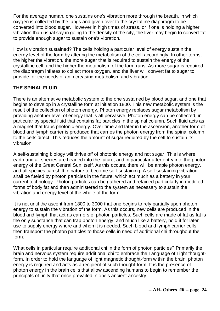For the average human, one sustains one's vibration more through the breath, in which oxygen is collected by the lungs and given over to the crystalline diaphragm to be converted into blood sugar. However in high times of stress, or if one is holding a higher vibration than usual say in going to the density of the city, the liver may begin to convert fat to provide enough sugar to sustain one's vibration.

How is vibration sustained? The cells holding a particular level of energy sustain the energy level of the form by altering the metabolism of the cell accordingly. In other terms, the higher the vibration, the more sugar that is required to sustain the energy of the crystalline cell, and the higher the metabolism of the form runs. As more sugar is required, the diaphragm inflates to collect more oxygen, and the liver will convert fat to sugar to provide for the needs of an increasing metabolism and vibration.

### **THE SPINAL FLUID**

There is an alternative metabolic system to the one sustained by blood sugar, and one that begins to develop in a crystalline form at initiation 1800. This new metabolic system is the result of the collection of photon energy. Photon energy replaces sugar metabolism by providing another level of energy that is all pervasive. Photon energy can be collected, in particular by special fluid that contains fat particles in the spinal column. Such fluid acts as a magnet that traps photonic energy. Over time and later in the ascension, another form of blood and lymph carrier is produced that carries the photon energy from the spinal column to the cells direct. This reduces the amount of sugar required by the cell to sustain its vibration.

A self-sustaining biology will thrive off of photonic energy and not sugar. This is where earth and all species are headed into the future, and in particular after entry into the photon energy of the Great Central Sun itself. As this occurs, there will be ample photon energy, and all species can shift in nature to become self-sustaining. A self-sustaining vibration shall be fueled by photon particles in the future, which act much as a battery in your current technology. Photon particles can be gathered and retained particularly in modified forms of body fat and then administered to the system as necessary to sustain the vibration and energy level of the whole of the form.

It is not until the ascent from 1800 to 3000 that one begins to rely partially upon photon energy to sustain the vibration of the form. As this occurs, new cells are produced in the blood and lymph that act as carriers of photon particles. Such cells are made of fat as fat is the only substance that can trap photon energy, and much like a battery, hold it for later use to supply energy where and when it is needed. Such blood and lymph carrier cells then transport the photon particles to those cells in need of additional chi throughout the form.

What cells in particular require additional chi in the form of photon particles? Primarily the brain and nervous system require additional chi to embrace the Language of Light thoughtform. In order to hold the language of light magnetic thought-form within the brain, photon energy is required and acts as a recipient of such thought-form. It is the presence of photon energy in the brain cells that allow ascending humans to begin to remember the principals of unity that once prevailed in one's ancient ancestry.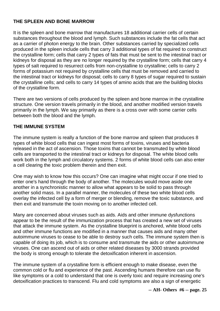### **THE SPLEEN AND BONE MARROW**

It is the spleen and bone marrow that manufactures 18 additional carrier cells of certain substances throughout the blood and lymph. Such substances include the fat cells that act as a carrier of photon energy to the brain. Other substances carried by specialized cells produced in the spleen include cells that carry 3 additional types of fat required to construct the crystalline form; cells that carry 2 types of fats that must be sent to the intestinal tract or kidneys for disposal as they are no longer required by the crystalline form; cells that carry 4 types of salt required to resurrect cells from non-crystalline to crystalline; cells to carry 2 forms of potassium not required by crystalline cells that must be removed and carried to the intestinal tract or kidneys for disposal; cells to carry 8 types of sugar required to sustain the crystalline cells; and cells to carry 14 types of amino acids that are the building blocks of the crystalline form.

There are two versions of cells produced by the spleen and bone marrow in the crystalline structure. One version travels primarily in the blood, and another modified version travels primarily in the lymph. We say primarily as there is a cross over with some carrier cells between both the blood and the lymph.

### **THE IMMUNE SYSTEM**

The immune system is really a function of the bone marrow and spleen that produces 8 types of white blood cells that can ingest most forms of toxins, viruses and bacteria released in the act of ascension. Those toxins that cannot be transmuted by white blood cells are transported to the intestinal tract or kidneys for disposal. The white blood cells work both in the lymph and circulatory systems. 2 forms of white blood cells can also enter a cell clearing the toxic problem therein and then exit.

One may wish to know how this occurs? One can imagine what might occur if one tried to enter one's hand through the body of another. The molecules would move aside one another in a synchronistic manner to allow what appears to be solid to pass through another solid mass. In a parallel manner, the molecules of these two white blood cells overlay the infected cell by a form of merger or blending, remove the toxic substance, and then exit and transmute the toxin moving on to another infected cell.

Many are concerned about viruses such as aids. Aids and other immune dysfunctions appear to be the result of the immunization process that has created a new set of viruses that attack the immune system. As the crystalline blueprint is anchored, white blood cells and other immune functions are modified in a manner that causes aids and many other autoimmune viruses to cease to be able to destroy such cells. The immune system then is capable of doing its job, which is to consume and transmute the aids or other autoimmune viruses. One can ascend out of aids or other related diseases by 3000 strands provided the body is strong enough to tolerate the detoxification inherent in ascension.

The immune system of a crystalline form is efficient enough to make disease, even the common cold or flu and experience of the past. Ascending humans therefore can use flu like symptoms or a cold to understand that one is overly toxic and require increasing one's detoxification practices to transcend. Flu and cold symptoms are also a sign of energetic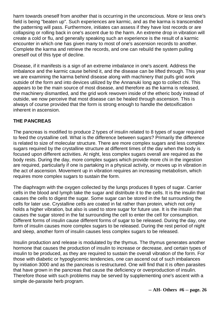harm towards oneself from another that is occurring in the unconscious. More or less one's field is being "beaten up". Such experiences are karmic, and as the karma is transcended the patterning will pass. Furthermore, initiates can assess if they have lost records or are collapsing or rolling back in one's ascent due to the harm. An extreme drop in vibration will create a cold or flu, and generally speaking such an experience is the result of a karmic encounter in which one has given many to most of one's ascension records to another. Complete the karma and retrieve the records, and one can rebuild the system pulling oneself out of this type of decline.

Disease, if it manifests is a sign of an extreme imbalance in one's ascent. Address the imbalance and the karmic cause behind it, and the disease can be lifted through. This year we are examining the karma behind disease along with machinery that pulls grid work outside of the form and into devices utilized by the Annanuki long ago to collect chi. This appears to be the main source of most disease, and therefore as the karma is released, the machinery dismantled, and the grid work rewoven inside of the etheric body instead of outside, we now perceive that most disease can be healed through ascension. This is always of course provided that the form is strong enough to handle the detoxification inherent in ascension.

### **THE PANCREAS**

The pancreas is modified to produce 2 types of insulin related to 8 types of sugar required to feed the crystalline cell. What is the difference between sugars? Primarily the difference is related to size of molecular structure. There are more complex sugars and less complex sugars required by the crystalline structure at different times of the day when the body is focused upon different activities. At night, less complex sugars overall are required as the body rests. During the day, more complex sugars which provide more chi in the ingestion are required, particularly if one is partaking in a physical activity, or moves up in vibration in the act of ascension. Movement up in vibration requires an increasing metabolism, which requires more complex sugars to sustain the form.

The diaphragm with the oxygen collected by the lungs produces 8 types of sugar. Carrier cells in the blood and lymph take the sugar and distribute it to the cells. It is the insulin that causes the cells to digest the sugar. Some sugar can be stored in the fat surrounding the cells for later use. Crystalline cells are coated in fat rather than protein, which not only holds a higher vibration, but also is used to store sugar for future use. It is the insulin that causes the sugar stored in the fat surrounding the cell to enter the cell for consumption. Different forms of insulin cause different forms of sugar to be released. During the day, one form of insulin causes more complex sugars to be released. During the rest period of night and sleep, another form of insulin causes less complex sugars to be released.

Insulin production and release is modulated by the thymus. The thymus generates another hormone that causes the production of insulin to increase or decrease, and certain types of insulin to be produced, as they are required to sustain the overall vibration of the form. For those with diabetic or hypoglycemic tendencies, one can ascend out of such imbalances by initiation 3000 and as the pancreas is restructured. One will find that it is often parasites that have grown in the pancreas that cause the deficiency or overproduction of insulin. Therefore those with such problems may be served by supplementing one's ascent with a simple de-parasite herb program.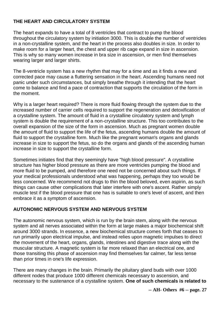### **THE HEART AND CIRCULATORY SYSTEM**

The heart expands to have a total of 8 ventricles that contract to pump the blood throughout the circulatory system by initiation 3000. This is double the number of ventricles in a non-crystalline system, and the heart in the process also doubles in size. In order to make room for a larger heart, the chest and upper rib cage expand in size in ascension. This is why so many women increase in bra size in ascension, or men find themselves wearing larger and larger shirts.

The 8-ventricle system has a new rhythm that may for a time and as it finds a new and corrected pace may cause a fluttering sensation in the heart. Ascending humans need not panic under such circumstances, but simply breathe through it intending that the heart come to balance and find a pace of contraction that supports the circulation of the form in the moment.

Why is a larger heart required? There is more fluid flowing through the system due to the increased number of carrier cells required to support the regeneration and detoxification of a crystalline system. The amount of fluid in a crystalline circulatory system and lymph system is double the requirement of a non-crystalline structure. This too contributes to the overall expansion of the size of the form in ascension. Much as pregnant women double the amount of fluid to support the life of the fetus, ascending humans double the amount of fluid to support the crystalline form. Much like the pregnant woman's organs and glands increase in size to support the fetus, so do the organs and glands of the ascending human increase in size to support the crystalline form.

Sometimes initiates find that they seemingly have "high blood pressure". A crystalline structure has higher blood pressure as there are more ventricles pumping the blood and more fluid to be pumped, and therefore one need not be concerned about such things. If your medical professionals understood what was happening, perhaps they too would be less concerned. We recommend not drugs to thin the blood beloved, even aspirin, as such things can cause other complications that later interfere with one's ascent. Rather simply muscle test if the blood pressure that one has is suitable to one's level of ascent, and then embrace it as a symptom of ascension.

### **AUTONOMIC NERVOUS SYSTEM AND NERVOUS SYSTEM**

The autonomic nervous system, which is run by the brain stem, along with the nervous system and all nerves associated within the form at large makes a major biochemical shift around 3000 strands. In essence, a new biochemical structure comes forth that ceases to run primarily upon electrical impulse, and instead relies upon magnetic impulses to direct the movement of the heart, organs, glands, intestines and digestive trace along with the muscular structure. A magnetic system is far more relaxed than an electrical one, and those transiting this phase of ascension may find themselves far calmer, far less tense than prior times in one's life expression.

There are many changes in the brain. Primarily the pituitary gland buds with over 1000 different nodes that produce 1000 different chemicals necessary to ascension, and necessary to the sustenance of a crystalline system. **One of such chemicals is related to**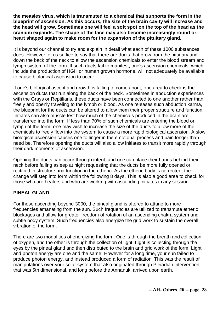**the measles virus, which is transmuted to a chemical that supports the form in the blueprint of ascension. As this occurs, the size of the brain cavity will increase and the head will grow. Sometimes one will feel a soft spot on the top of the head as the cranium expands. The shape of the face may also become increasingly round or heart shaped again to make room for the expansion of the pituitary gland.**

It is beyond our channel to try and explain in detail what each of these 1000 substances does. However let us suffice to say that there are ducts that grow from the pituitary and down the back of the neck to allow the ascension chemicals to enter the blood stream and lymph system of the form. If such ducts fail to manifest, one's ascension chemicals, which include the production of HGH or human growth hormone, will not adequately be available to cause biological ascension to occur.

If one's biological ascent and growth is failing to come about, one area to check is the ascension ducts that run along the back of the neck. Sometimes in abduction experiences with the Grays or Reptilians, these ducts have been connected to one another rather than freely and openly traveling to the lymph or blood. As one releases such abduction karma, the blueprint for the ducts can be altered to allow them their proper structure and function. Initiates can also muscle test how much of the chemicals produced in the brain are transferred into the form. If less than 70% of such chemicals are entering the blood or lymph of the form, one may wish to increase the size of the ducts to allow more of the chemicals to freely flow into the system to cause a more rapid biological ascension. A slow biological ascension causes one to linger in the emotional process and pain longer than need be. Therefore opening the ducts will also allow initiates to transit more rapidly through their dark moments of ascension.

Opening the ducts can occur through intent, and one can place their hands behind their neck before falling asleep at night requesting that the ducts be more fully opened or rectified in structure and function in the etheric. As the etheric body is corrected, the change will step into form within the following 8 days. This is also a good area to check for those who are healers and who are working with ascending initiates in any session.

#### **PINEAL GLAND**

For those ascending beyond 3000, the pineal gland is altered to attune to more frequencies emanating from the sun. Such frequencies are utilized to transmute etheric blockages and allow for greater freedom of rotation of an ascending chakra system and subtle body system. Such frequencies also energize the grid work to sustain the overall vibration of the form.

There are two modalities of energizing the form. One is through the breath and collection of oxygen, and the other is through the collection of light. Light is collecting through the eyes by the pineal gland and then distributed to the brain and grid work of the form. Light and photon energy are one and the same. However for a long time, your sun failed to produce photon energy, and instead produced a form of radiation. This was the result of manipulations over your solar system that also originated through Pleiadian intervention that was 5th dimensional, and long before the Annanuki arrived upon earth.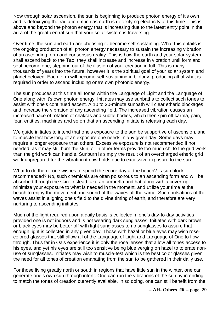Now through solar ascension, the sun is beginning to produce photon energy of it's own and is detoxifying the radiation much as earth is detoxifying electricity at this time. This is above and beyond the photon energy that is increasing due to the latest entry point in the aura of the great central sun that your solar system is traversing.

Over time, the sun and earth are choosing to become self-sustaining. What this entails is the ongoing production of all photon energy necessary to sustain the increasing vibration of an ascending form and consensus reality. This is how the earth and your solar system shall ascend back to the Tao; they shall increase and increase in vibration until form and soul become one, stepping out of the illusion of your creation in full. This is many thousands of years into the future, however it is the spiritual goal of your solar system and planet beloved. Each form will become self-sustaining in biology, producing all of what is required in order to ascend including one's own photonic energy.

The sun produces at this time all tones within the Language of Light and the Language of One along with it's own photon energy. Initiates may use sunbaths to collect such tones to assist with one's continued ascent. A 10 to 20-minute sunbath will clear etheric blockages and increase the vibration of any ascending field. The increased vibration causes an increased pace of rotation of chakras and subtle bodies, which then spin off karma, pain, fear, entities, machines and so on that an ascending initiate is releasing each day.

We guide initiates to intend that one's exposure to the sun be supportive of ascension, and to muscle test how long of an exposure one needs in any given day. Some days may require a longer exposure than others. Excessive exposure is not recommended if not needed, as it may still burn the skin, or in other terms provide too much chi to the grid work than the grid work can handle. Sunburn is simply the result of an overcharged etheric grid work unprepared for the vibration it now holds due to excessive exposure to the sun.

What to do then if one wishes to spend the entire day at the beach? Is sun block recommended? No, such chemicals are often poisonous to an ascending form and will be absorbed through the skin. Instead take an umbrella and hat along with a cover-up, minimize your exposure to what is needed in the moment, and utilize your time at the beach to enjoy the movement and sound of the waves all the same. Such pulsations of the waves assist in aligning one's field to the divine timing of earth, and therefore are very nurturing to ascending initiates.

Much of the light required upon a daily basis is collected in one's day-to-day activities provided one is not indoors and is not wearing dark sunglasses. Initiates with dark brown or black eyes may be better off with light sunglasses to no sunglasses to assure that enough light is collected in any given day. Those with hazel or blue eyes may wish rosecolored glasses that still allow all of the Language of Light and Language of One to flow through. Thus far in Oa's experience it is only the rose lenses that allow all tones access to his eyes, and yet his eyes are still too sensitive being blue verging on hazel to tolerate nonuse of sunglasses. Initiates may wish to muscle-test which is the best color glasses given the need for all tones of creation emanating from the sun to be gathered in their daily use.

For those living greatly north or south in regions that have little sun in the winter, one can generate one's own sun through intent. One can run the vibrations of the sun by intending to match the tones of creation currently available. In so doing, one can still benefit from the

**-- AH- Others #6 -- page. 29**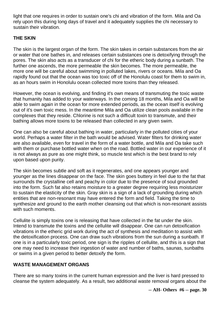light that one requires in order to sustain one's chi and vibration of the form. Mila and Oa rely upon this during long days of travel and it adequately supplies the chi necessary to sustain their vibration.

### **THE SKIN**

The skin is the largest organ of the form. The skin takes in certain substances from the air or water that one bathes in, and releases certain substances one is detoxifying through the pores. The skin also acts as a transducer of chi for the etheric body during a sunbath. The further one ascends, the more permeable the skin becomes. The more permeable, the more one will be careful about swimming in polluted lakes, rivers or oceans. Mila and Oa rapidly found out that the ocean was too toxic off of the Honolulu coast for them to swim in, as an hours swim in Honolulu ocean collected more toxins than they released.

However, the ocean is evolving, and finding it's own means of transmuting the toxic waste that humanity has added to your waterways. In the coming 18 months, Mila and Oa will be able to swim again in the ocean for more extended periods, as the ocean itself is evolving out of it's own toxic mess. In the meantime Mila and Oa utilize clean pools available in the complexes that they reside. Chlorine is not such a difficult toxin to transmute, and their bathing allows more toxins to be released than collected in any given swim.

One can also be careful about bathing in water, particularly in the polluted cities of your world. Perhaps a water filter in the bath would be advised. Water filters for drinking water are also available, even for travel in the form of a water bottle, and Mila and Oa take such with them or purchase bottled water when on the road. Bottled water in our experience of it is not always as pure as one might think, so muscle test which is the best brand to rely upon based upon purity.

The skin becomes subtle and soft as it regenerates, and one appears younger and younger as the lines disappear on the face. The skin goes buttery in feel due to the fat that surrounds the crystalline cell and peachy in color due to the presence of soul grounded into the form. Such fat also retains moisture to a greater degree requiring less moisturizer to sustain the elasticity of the skin. Gray skin is a sign of a lack of grounding during which entities that are non-resonant may have entered the form and field. Taking the time to synthesize and ground to the earth mother cleansing out that which is non-resonant assists with such moments.

Cellulite is simply toxins one is releasing that have collected in the fat under the skin. Intend to transmute the toxins and the cellulite will disappear. One can run detoxification vibrations in the etheric grid work during the act of synthesis and meditation to assist with the detoxification process. One can draw such vibrations from the sun during a sunbath. If one is in a particularly toxic period, one sign is the ripples of cellulite, and this is a sign that one may need to increase their ingestion of water and number of baths, saunas, sunbaths or swims in a given period to better detoxify the form.

### **WASTE MANAGEMENT ORGANS**

There are so many toxins in the current human expression and the liver is hard pressed to cleanse the system adequately. As a result, two additional waste removal organs about the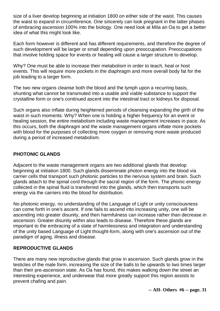size of a liver develop beginning at initiation 1800 on either side of the waist. This causes the waist to expand in circumference. One sincerely can look pregnant in the latter phases of embracing ascension 100% into the biology. One need look at Mila an Oa to get a better idea of what this might look like.

Each form however is different and has different requirements, and therefore the degree of such development will be larger or small depending upon preoccupation. Preoccupations that involve holding space for events or healing will cause a larger structure to develop.

Why? One must be able to increase their metabolism in order to teach, heal or host events. This will require more pockets in the diaphragm and more overall body fat for the job leading to a larger form.

The two new organs cleanse both the blood and the lymph upon a recurring basis, shunting what cannot be transmuted into a usable and viable substance to support the crystalline form or one's continued ascent into the intestinal tract or kidneys for disposal.

Such organs also inflate during heightened periods of cleansing expanding the girth of the waist in such moments. Why? When one is holding a higher frequency for an event or healing session, the entire metabolism including waste management increases in pace. As this occurs, both the diaphragm and the waste management organs inflate more pockets with blood for the purposes of collecting more oxygen or removing more waste produced during a period of increased metabolism.

### **PHOTONIC GLANDS**

Adjacent to the waste management organs are two additional glands that develop beginning at initiation 1800. Such glands disseminate photon energy into the blood via carrier cells that transport such photonic particles to the nervous system and brain. Such glands attach to the spinal cord through the sacral region of the form. The phonic energy collected in the spinal fluid is transferred into the glands, which then transports such energy via the carriers into the blood for distribution.

No photonic energy, no understanding of the Language of Light or unity consciousness can come forth in one's ascent. If one fails to ascend into increasing unity, one will be ascending into greater disunity, and then harmfulness can increase rather than decrease in ascension. Greater disunity within also leads to disease. Therefore these glands are important to the embracing of a state of harmlessness and integration and understanding of the unity based Language of Light thought-form, along with one's ascension out of the paradigm of aging, illness and disease.

#### **REPRODUCTIVE GLANDS**

There are many new reproductive glands that grow in ascension. Such glands grow in the testicles of the male form, increasing the size of the balls to be upwards to two times larger than their pre-ascension state. As Oa has found, this makes walking down the street an interesting experience, and underwear that more greatly support this region assists to prevent chafing and pain.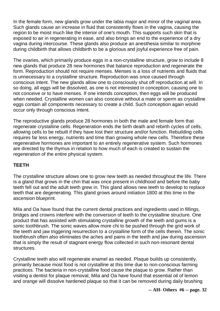In the female form, new glands grow under the labia major and minor of the vaginal area. Such glands cause an increase in fluid that consistently flows in the vagina, causing the region to be moist much like the interior of one's mouth. This supports such skin that is exposed to air in regenerating in ease, and also brings an end to the experience of a dry vagina during intercourse. These glands also produce an anesthesia similar to morphine during childbirth that allows childbirth to be a glorious and joyful experience free of pain.

The ovaries, which primarily produce eggs in a non-crystalline structure, grow to include 8 new glands that produce 28 new hormones that balance reproduction and regenerate the form. Reproduction should not require menses. Menses is a loss of nutrients and fluids that is unnecessary to a crystalline structure. Reproduction was once caused through conscious intent. The new glands allow one to consciously shut off reproduction at will. In so doing, all eggs will be dissolved, as one is not interested in conception, causing one to not conceive or to have menses. If one intends conception, then eggs will be produced when needed. Crystalline women can also conceive without a mate or sperm as crystalline eggs contain all components necessary to create a child. Such conception again would occur only through conscious intent.

The reproductive glands produce 28 hormones in both the male and female form that regenerate crystalline cells. Regeneration ends the birth death and rebirth cycles of cells, allowing cells to be rebuilt if they have lost their structure and/or function. Rebuilding cells requires far less energy, nutrients and time than growing whole new cells. Therefore these regenerative hormones are important to an entirely regenerative system. Such hormones are directed by the thymus in relation to how much of each is created to sustain the regeneration of the entire physical system.

### **TEETH**

The crystalline structure allows one to grow new teeth as needed throughout the life. There is a gland that grows in the chin that was once present in childhood and before the baby teeth fell out and the adult teeth grew in. This gland allows new teeth to develop to replace teeth that are degenerating. This gland grows around initiation 1800 at this time in the ascension blueprint.

Mila and Oa have found that the current dental practices and ingredients used in fillings, bridges and crowns interfere with the conversion of teeth to the crystalline structure. One product that has assisted with stimulating crystalline growth of the teeth and gums is a sonic toothbrush. The sonic waves allow more chi to be pushed through the grid work of the teeth and jaw triggering resurrection to a crystalline form of the cells therein. The sonic toothbrush often also eliminates the aches and pains in the teeth and jaw during ascension that is simply the result of stagnant energy flow collected in such non-resonant dental structures.

Crystalline teeth also will regenerate enamel as needed. Plaque builds up consistently, primarily because most food is not crystalline at this time due to non-conscious farming practices. The bacteria in non-crystalline food cause the plaque to grow. Rather than visiting a dentist for plaque removal, Mila and Oa have found that essential oil of lemon and orange will dissolve hardened plaque so that it can be removed during daily brushing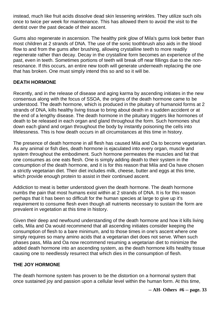instead, much like fruit acids dissolve dead skin lessening wrinkles. They utilize such oils once to twice per week for maintenance. This has allowed them to avoid the visit to the dentist over the past decade of their ascent.

Gums also regenerate in ascension. The healthy pink glow of Mila's gums look better than most children at 2 strands of DNA. The use of the sonic toothbrush also aids in the blood flow to and from the gums after brushing, allowing crystalline teeth to more readily regenerate rather than decay. Decay in the crystalline form becomes an experience of the past, even in teeth. Sometimes portions of teeth will break off near fillings due to the nonresonance. If this occurs, an entire new tooth will generate underneath replacing the one that has broken. One must simply intend this so and so it will be.

### **DEATH HORMONE**

Recently, and in the release of disease and aging karma by ascending initiates in the new consensus along with the focus of SSOA, the origins of the death hormone came to be understood. The death hormone, which is produced in the pituitary of humanoid forms at 2 strands of DNA, kills healthy living tissue to bring about death in a sudden accident or at the end of a lengthy disease. The death hormone in the pituitary triggers like hormones of death to be released in each organ and gland throughout the form. Such hormones shut down each gland and organ throughout the body by instantly poisoning the cells into lifelessness. This is how death occurs in all circumstances at this time in history.

The presence of death hormone in all flesh has caused Mila and Oa to become vegetarian. As any animal or fish dies, death hormone is ejaculated into every organ, muscle and system throughout the embodiment. Such hormone permeates the muscles and fat that one consumes as one eats flesh. One is simply adding death to their system in the consumption of the death hormone, and it is for this reason that Mila and Oa have chosen a strictly vegetarian diet. Their diet includes milk, cheese, butter and eggs at this time, which provide enough protein to assist in their continued ascent.

Addiction to meat is better understood given the death hormone. The death hormone numbs the pain that most humans exist within at 2 strands of DNA. It is for this reason perhaps that it has been so difficult for the human species at large to give up it's requirement to consume flesh even though all nutrients necessary to sustain the form are prevalent in vegetation at this time in history.

Given their deep and newfound understanding of the death hormone and how it kills living cells, Mila and Oa would recommend that all ascending initiates consider keeping the consumption of flesh to a bare minimum, and to those times in one's ascent where one simply requires so many amino acids that a vegetarian diet does not serve. When such phases pass, Mila and Oa now recommend resuming a vegetarian diet to minimize the added death hormone into an ascending system, as the death hormone kills healthy tissue causing one to needlessly resurrect that which dies in the consumption of flesh.

### **THE JOY HORMONE**

The death hormone system has proven to be the distortion on a hormonal system that once sustained joy and passion upon a cellular level within the human form. At this time,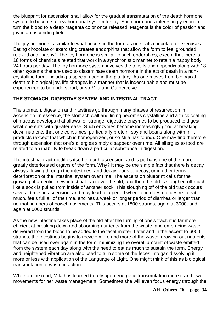the blueprint for ascension shall allow for the gradual transmutation of the death hormone system to become a new hormonal system for joy. Such hormones interestingly enough turn the blood to a deep magenta color once released. Magenta is the color of passion and joy in an ascending field.

The joy hormone is similar to what occurs in the form as one eats chocolate or exercises. Eating chocolate or exercising creates endorphins that allow the form to feel grounded, relaxed and "happy". The joy hormone is similar to such endorphins, except that there is 18 forms of chemicals related that work in a synchronistic manner to retain a happy body 24 hours per day. The joy hormone system involves the tonsils and appendix along with 18 other systems that are used to disseminate death hormone in the act of death in a noncrystalline form, including a special node in the pituitary. As one moves from biological death to biological joy, life changes in a manner that is indescribable and must be experienced to be understood, or so Mila and Oa perceive.

### **THE STOMACH, DIGESTIVE SYSTEM AND INTESTINAL TRACT**

The stomach, digestion and intestines go through many phases of resurrection in ascension. In essence, the stomach wall and lining becomes crystalline and a thick coating of mucous develops that allows for stronger digestive enzymes to be produced to digest what one eats with greater ease. Such enzymes become increasingly good at breaking down nutrients that one consumes, particularly protein, soy and beans along with milk products (except that which is homogenized, or so Mila has found). One may find therefore through ascension that one's allergies simply disappear over time. All allergies to food are related to an inability to break down a particular substance in digestion.

The intestinal tract modifies itself through ascension, and is perhaps one of the more greatly deteriorated organs of the form. Why? It may be the simple fact that there is decay always flowing through the intestines, and decay leads to decay, or in other terms, deterioration of the intestinal system over time. The ascension blueprint calls for the growing of an entire new intestinal tract over the old, and then the old is sloughed off much like a sock is pulled from inside of another sock. This sloughing off of the old track occurs several times in ascension, and may lead to a period where one does not desire to eat much, feels full all of the time, and has a week or longer period of diarrhea or larger than normal numbers of bowel movements. This occurs at 1800 strands, again at 3000, and again at 6000 strands.

As the new intestine takes place of the old after the turning of one's tract, it is far more efficient at breaking down and absorbing nutrients from the waste, and embracing waste delivered from the blood to be added to the fecal matter. Later and in the ascent to 6000 strands, the intestines begins to recycle more and more of the waste, drawing out nutrients that can be used over again in the form, minimizing the overall amount of waste emitted from the system each day along with the need to eat as much to sustain the form. Energy and heightened vibration are also used to turn some of the feces into gas dissolving it more or less with application of the Language of Light. One might think of this as biological transmutation of waste in action.

While on the road, Mila has learned to rely upon energetic transmutation more than bowel movements for her waste management. Sometimes she will even focus energy through the

**-- AH- Others #6 -- page. 34**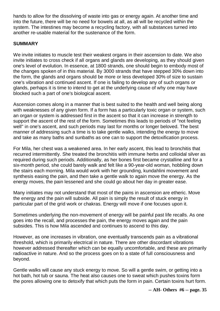hands to allow for the dissolving of waste into gas or energy again. At another time and into the future, there will be no need for bowels at all, as all will be recycled within the system. The intestines may become a recycling factory, with all substances turned into another re-usable material for the sustenance of the form.

### **SUMMARY**

We invite initiates to muscle test their weakest organs in their ascension to date. We also invite initiates to cross check if all organs and glands are developing, as they should given one's level of evolution. In essence, at 1800 strands, one should begin to embody most of the changes spoken of in this material. By 3000 strands that have stepped 30% down into the form, the glands and organs should be more or less developed 30% of size to sustain one's vibration and continued ascent. If one is failing to develop any of such organs or glands, perhaps it is time to intend to get at the underlying cause of why one may have blocked such a part of one's biological ascent.

Ascension comes along in a manner that is best suited to the health and well being along with weaknesses of any given form. If a form has a particularly toxic organ or system, such an organ or system is addressed first in the ascent so that it can increase in strength to support the ascent of the rest of the form. Sometimes this leads to periods of "not feeling well" in one's ascent, and such periods may last for months or longer beloved. The best manner of addressing such a time is to take gentle walks, intending the energy to move and take as many baths and sunbaths as one can to support the detoxification process.

For Mila, her chest was a weakened area. In her early ascent, this lead to bronchitis that recurred intermittently. She treated the bronchitis with immune herbs and colloidal silver as required during such periods. Additionally, as her bones first became crystalline and for a six-month period, she could barely walk and felt like a 90-year-old woman, hobbling down the stairs each morning. Mila would work with her grounding, kundahlini movement and synthesis easing the pain, and then take a gentle walk to again move the energy. As the energy moves, the pain lessened and she could go about her day in greater ease.

Many initiates may not understand that most of the pains in ascension are etheric. Move the energy and the pain will subside. All pain is simply the result of stuck energy in particular part of the grid work or chakras. Energy will move if one focuses upon it.

Sometimes underlying the non-movement of energy will be painful past life recalls. As one goes into the recall, and processes the pain, the energy moves again and the pain subsides. This is how Mila ascended and continues to ascend to this day.

However, as one increases in vibration, one eventually transcends pain as a vibrational threshold, which is primarily electrical in nature. There are other discordant vibrations however addressed thereafter which can be equally uncomfortable, and these are primarily radioactive in nature. And so the process goes on to a state of full consciousness and beyond.

Gentle walks will cause any stuck energy to move. So will a gentle swim, or getting into a hot bath, hot tub or sauna. The heat also causes one to sweat which pushes toxins form the pores allowing one to detoxify that which puts the form in pain. Certain toxins hurt form.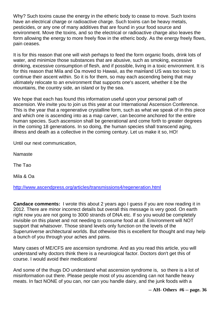Why? Such toxins cause the energy in the etheric body to cease to move. Such toxins have an electrical charge or radioactive charge. Such toxins can be heavy metals, pesticides, or any one of many additives that are found in your food source and environment. Move the toxins, and so the electrical or radioactive charge also leaves the form allowing the energy to more freely flow in the etheric body. As the energy freely flows, pain ceases.

It is for this reason that one will wish perhaps to feed the form organic foods, drink lots of water, and minimize those substances that are abusive, such as smoking, excessive drinking, excessive consumption of flesh, and if possible, living in a toxic environment. It is for this reason that Mila and Oa moved to Hawaii, as the mainland US was too toxic to continue their ascent within. So it is for them, so may each ascending being that may ultimately relocate to an environment that supports one's ascent, whether it be the mountains, the country side, an island or by the sea.

We hope that each has found this information useful upon your personal path of ascension. We invite you to join us this year at our International Ascension Conference. This is the year that a regenerative crystalline form, such as what we speak of in this piece and which one is ascending into as a map carver, can become anchored for the entire human species. Such ascension shall be generational and come forth to greater degrees in the coming 18 generations. In so doing, the human species shall transcend aging, illness and death as a collective in the coming century. Let us make it so, HO!

Until our next communication,

Namaste

The Tao

Mila & Oa

<http://www.ascendpress.org/articles/transmissions4/regeneration.html>

**Candace comments:** I wrote this about 2 years ago I guess if you are now reading it in 2012. There are minor incorrect details but overall this message is very good. On earth right now you are not going to 3000 strands of DNA etc. If so you would be completely invisible on this planet and not needing to consume food at all. Environment will NOT support that whatsover. Those strand levels only function on the levels of the Superuniverse architectural worlds. But othewise this is excellent for thought and may help a bunch of you through your aches and pains.

Many cases of ME/CFS are ascension syndrome. And as you read this article, you will understand why doctors think there is a neurological factor. Doctors don't get this of course. I would avoid their medications!

And some of the thugs DO understand what ascension syndrome is, so there is a lot of misinformation out there. Please people most of you ascending can not handle heavy meats. In fact NONE of you can, nor can you handle dairy, and the junk foods with a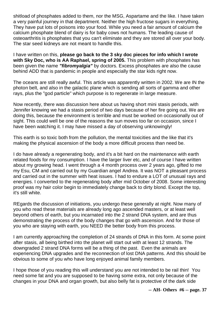shitload of phosphates added to them, nor the MSG, Aspartame and the like. I have taken a very painful journey in that department. Neither the high fructose sugars in everything. They have put lots of poisons into your food. While you need a fair amount of calcium the calcium phosphate blend of dairy is for baby cows not humans. The leading cause of osteoarthritis is phosphates that you can't eliminate and they are stored all over your body. The star seed kidneys are not meant to handle this.

I have written on this, **please go back to the 3 sky doc pieces for info which I wrote with Sky Doc, who is AA Raphael, spring of 2005.** This problem with phosphates has been given the name *"fibromyalgia"* by doctors. Excess phosphates are also the cause behind ADD that is pandemic in people and especially the star kids right now.

The oceans are still really awful. This article was apparently written in 2002. We are IN the photon belt, and also in the galactic plane which is sending all sorts of gamma and other rays, plus the "god particle" which purpose is to regenerate in large measure.

Now recently, there was discussion here about us having short mini stasis periods, with Jennifer knowing we had a stasis period of two days because of her fire going out. We are doing this, because the environment is terrible and must be worked on occasionally out of sight. This could well be one of the reasons the sun moves too far on occasion, since I have been watching it. I may have missed a day of observing unknowingly!

This earth is so toxic both from the pollution, the mental toxicities and the like that it's making the physical ascension of the body a more difficult process than need be.

I do have already a regenerating body, and it's a bit hard on the maintenance with earth related foods for my consumption. I have the larger liver etc, and of course I have written about my growing head. I went through a 4 month process over 2 years ago, gifted to me my Esu, CM and carried out by my Guardian angel Andrea. It was NOT a pleasant process and carried out in the summer with heat issues. I had to endure a LOT of unusual rays and energies. I converted to the regenerating body after mid October of 2008. Some interesting proof was my hair color begin to immediately change back to dirty blond. Except the top, it's still white.

REgards the discussion of initiations, you undergo these generally at night. Now many of you who read these materials are already long ago ascended masters, or at least well beyond others of earth, but you incarnated into the 2 strand DNA system, and are thus demonstrating the process of the body changes that go with ascension. And for those of you who are staying with earth, you NEED the better body from this process.

I am currently approaching the completion of 24 strands of DNA in this form. At some point after stasis, all being birthed into the planet will start out with at least 12 strands. The downgraded 2 strand DNA forms will be a thing of the past. Even the animals are experiencing DNA upgrades and the reconnection of lost DNA patterns. And this should be obvious to some of you who have long enjoyed animal family members.

I hope those of you reading this will understand you are not intended to be rail thin! You need some fat and you are supposed to be having some extra, not only because of the changes in your DNA and organ growth, but also belly fat is protective of the dark side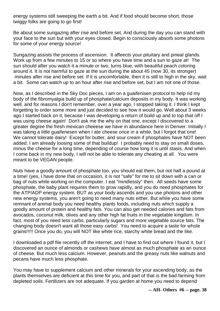energy systems still sweeping the earth a bit. And if food should become short, those twiggy folks are going to go first!

Be about some sungazing after rise and before set. And during the day you can stand with your face to the sun but with your eyes closed. Begin to consciously absorb some photons for some of your energy source!

Sungazing assists the process of ascension. It affeects your pituitary and pineal glands. Work up from a few minutes to 15 or so where you have time and a sun to gaze at! The sun should after you watch it a minute or two, turns blue, with beautiful peach coloring around it. It is not harmful to gaze at the sun during the about 45 (now 30, its stronger) minutes after rise and before set. If it is uncomfortable, then it is still to high in the sky, wait a bit. Some can watch up to an hour after rise and before set, but I am not one of those.

Now, as I described in the Sky Doc pieces, I am on a guaifenisen protocol to help rid my body of the fibromyalgia build up of phosphate/calcium deposits in my body. It was working well, and for reasons I don't remember, over a year ago, I stopped taking it. I think I kept forgetting to order some more and just decided to see how it would go. Well about 3 weeks ago I started back on it, because I was developing a return of build up and to top that off I was using cheese again! Don't ask me the why on that one, except I discovered to a greater degree the fresh mexican cheeese we have in abundance here in Denver. Initially I was taking a little guaifenesen when I ate cheese once in a while, but I forgot that one! We cannot tolerate dairy! Except for butter, and sour cream if phosphates have NOT been added. I am already loosing some of that buildup! I probably need to stay on small doses, minus the cheese for a long time, depending of course how long it is until stasis. And when I come back in my new body, I will not be able to tolerate any cheating at all. You were meant to be VEGAN people.

Nuts have a goodly amount of phosphate too, you should eat them, but not half a pound at a time! (yes, I have done that on occasion, it is not "safe" for me to sit down with a can or bag of nuts while working on the computer. I eat "mindlessly" then. All seeds have some phosphate, the baby plant requires them to grow rapidly, and you do need phosphates for the ATP/ADP energy system. BUT as your body ascends and you use photons and other new energy systems, you aren't going to need many nuts either. But while you have some remnant of animal body you need healthy plants foods, including nuts which supply a goodly amount of protein and healthy fats. You can also get needed calories and fats from avocados, coconut milk, olives and any other high fat fruits in the vegetable kingdom. In fact, most of you need less carbs, particularly sugars and more vegetable source fats. The changing body doesn't want all those easy carbs! You need to acquire a taste for whole grains!!!!! Once you do, you will NOT like white rice, starchy white bread and the like.

I downloaded a pdf file recently off the internet, and I have to find out where I found it, but I discovered an ounce of almonds or cashews have almost as much phosphate as an ounce of cheese. But much less calcium. However, peanuts and the greasy nuts like walnuts and pecans have much less phosphate.

You may have to supplement calcium and other minerals for your ascending body, as the plants themselves are deficient at this time for you, and part of that is the bad farming from depleted soils. Fertilizers are not adequate. If you garden at home you need to depend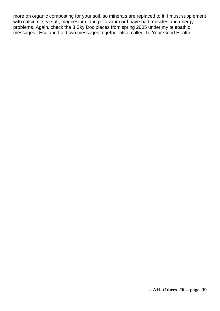more on organic composting for your soil, so minerals are replaced to it. I must supplement with calcium, sea salt, magnesium, and potassium or I have bad muscles and energy problems. Again, check the 3 Sky Doc pieces from spring 2005 under my telepathic messages. Esu and I did two messages together also, called To Your Good Health.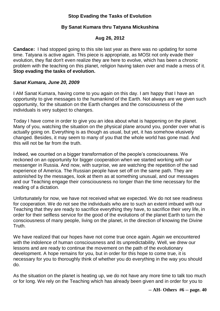### **Stop Evading the Tasks of Evolution**

#### **By Sanat Kumara thru Tatyana Mickushina**

### **Aug 26, 2012**

**Candace:** I had stopped going to this site last year as there was no updating for some time. Tatyana is active again. This piece is appropriate, as MOSt not only evade their evolution, they flat don't even realize they are here to evolve, which has been a chronic problem with the teaching on this planet, religion having taken over and made a mess of it. **Stop evading the tasks of evolution.**

#### *Sanat Kumara, June 20, 2009*

I AM Sanat Kumara, having come to you again on this day. I am happy that I have an opportunity to give messages to the humankind of the Earth. Not always are we given such opportunity, for the situation on the Earth changes and the consciousness of the individuals is very subject to changes.

Today I have come in order to give you an idea about what is happening on the planet. Many of you, watching the situation on the physical plane around you, ponder over what is actually going on. Everything is as though as usual, but yet, it has somehow elusively changed. Besides, it may seem to many of you that the whole world has gone mad. And this will not be far from the truth.

Indeed, we counted on a bigger transformation of the people's consciousness. We reckoned on an opportunity for bigger cooperation when we started working with our messenger in Russia. And now, with surprise, we are watching the repetition of the sad experience of America. The Russian people have set off on the same path. They are astonished by the messages, look at them as at something unusual, and our messages and our Teaching engage their consciousness no longer than the time necessary for the reading of a dictation.

Unfortunately for now, we have not received what we expected. We do not see readiness for cooperation. We do not see the individuals who are to such an extent imbued with our Teaching that they are ready to sacrifice everything they have, to sacrifice their very life, in order for their selfless service for the good of the evolutions of the planet Earth to turn the consciousness of many people, living on the planet, in the direction of knowing the Divine Truth.

We have realized that our hopes have not come true once again. Again we encountered with the indolence of human consciousness and its unpredictability. Well, we drew our lessons and are ready to continue the movement on the path of the evolutionary development. A hope remains for you, but in order for this hope to come true, it is necessary for you to thoroughly think of whether you do everything in the way you should do.

As the situation on the planet is heating up, we do not have any more time to talk too much or for long. We rely on the Teaching which has already been given and in order for you to

**-- AH- Others #6 -- page. 40**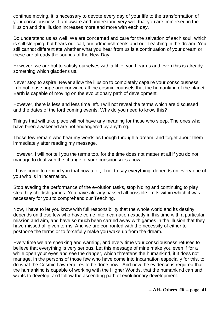continue moving, it is necessary to devote every day of your life to the transformation of your consciousness. I am aware and understand very well that you are immersed in the illusion and the illusion increases more and more with each day.

Do understand us as well. We are concerned and care for the salvation of each soul, which is still sleeping, but hears our call, our admonishments and our Teaching in the dream. You still cannot differentiate whether what you hear from us is a continuation of your dream or these are already the sounds of the New Day.

However, we are but to satisfy ourselves with a little: you hear us and even this is already something which gladdens us.

Never stop to aspire. Never allow the illusion to completely capture your consciousness. I do not loose hope and convince all the cosmic counsels that the humankind of the planet Earth is capable of moving on the evolutionary path of development.

However, there is less and less time left. I will not reveal the terms which are discussed and the dates of the forthcoming events. Why do you need to know this?

Things that will take place will not have any meaning for those who sleep. The ones who have been awakened are not endangered by anything.

Those few remain who hear my words as though through a dream, and forget about them immediately after reading my message.

However, I will not tell you the terms too, for the time does not matter at all if you do not manage to deal with the change of your consciousness now.

I have come to remind you that now a lot, if not to say everything, depends on every one of you who is in incarnation.

Stop evading the performance of the evolution tasks, stop hiding and continuing to play stealthily childish games. You have already passed all possible limits within which it was necessary for you to comprehend our Teaching.

Now, I have to let you know with full responsibility that the whole world and its destiny, depends on these few who have come into incarnation exactly in this time with a particular mission and aim, and have so much been carried away with games in the illusion that they have missed all given terms. And we are confronted with the necessity of either to postpone the terms or to forcefully make you wake up from the dream.

Every time we are speaking and warning, and every time your consciousness refuses to believe that everything is very serious. Let this message of mine make you even if for a while open your eyes and see the danger, which threatens the humankind, if it does not manage, in the persons of those few who have come into incarnation especially for this, to do what the Cosmic Law requires to be done now. And now the evidence is required that the humankind is capable of working with the Higher Worlds, that the humankind can and wants to develop, and follow the ascending path of evolutionary development.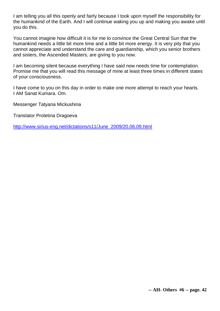I am telling you all this openly and fairly because I took upon myself the responsibility for the humankind of the Earth. And I will continue waking you up and making you awake until you do this.

You cannot imagine how difficult it is for me to convince the Great Central Sun that the humankind needs a little bit more time and a little bit more energy. It is very pity that you cannot appreciate and understand the care and guardianship, which you senior brothers and sisters, the Ascended Masters, are giving to you now.

I am becoming silent because everything I have said now needs time for contemplation. Promise me that you will read this message of mine at least three times in different states of your consciousness.

I have come to you on this day in order to make one more attempt to reach your hearts. I AM Sanat Kumara. Om.

Messenger Tatyana Mickushina

Translator Proletina Dragoeva

[http://www.sirius-eng.net/dictations/s11/June\\_2009/20.06.09.html](http://www.sirius-eng.net/dictations/s11/June_2009/20.06.09.html)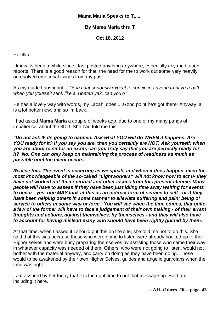#### **Mama Maria Speaks to T......**

#### **By Mama Maria thru T**

**Oct 18, 2012**

Hi folks,

I know its been a while since I last posted anything anywhere, especially any meditation reports. There is a good reason for that; the need for me to work out some very heavily unresolved emotional issues from my past -

As my guide Laoshi put it: *"You cant seriously expect to convince anyone to have a bath when you yourself stink like a Tibetan yak, can you?!"*

He has a lovely way with words, my Laoshi does.....Good point he's got there! Anyway, all is a lot better now, and so Im back.

I had asked **Mama Maria** a couple of weeks ago, due to one of my many pangs of impatience, about the 3DD. She had told me this:

*"Do not ask IF its going to happen. Ask what YOU will do WHEN it happens. Are YOU ready for it? If you say you are, then you certainly are NOT. Ask yourself: when you are about to sit for an exam, can you truly say that you are perfectly ready for it? No. One can only keep on maintaining the process of readiness as much as possible until the event occurs.* 

*Realise this. The event is occurring as we speak; and when it does happen, even the most knowledgeable of the so-called "Lightworkers" will not know how to act IF they have not worked out their spiritual and other issues from this present lifetime. Many people will have to assess if they have been just idling time away waiting for events to occur - yes, one MAY look at this as an indirect form of service to self - or if they have been helping others in some manner to alleviate suffering and pain; being of service to others in some way or form. You will see when the time comes, that quite a few of the former will have to face a judgement of their own making - of their errant thoughts and actions, against themselves, by themselves - and they will also have to account for having mislead many who should have been rightly guided by them."*

At that time, when I asked if I should put this on the site, she told me not to do this. She said that this was because those who were going to listen were already hooked up to their Higher selves and were busy preparing themselves by assisting those who came their way in whatever capacity was needed of them. Others, who were not going to listen, would not bother with the material anyway, and carry on doing as they have been doing. These would to be awakened by their own Higher Selves, guides and angelic guardians when the time was right.

I am assured by her today that it is the right time to put that message up. So, I am including it here.

**-- AH- Others #6 -- page. 43**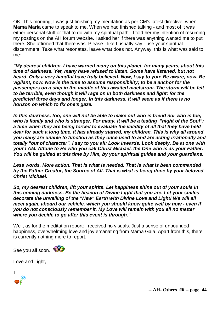OK. This morning, I was just finishing my meditation as per CM's latest directive, when **Mama Maria** came to speak to me. When we had finished talking - and most of it was either personal stuff or that to do with my spiritual path - I told her my intention of resuming my postings on the AH forum website. I asked her if there was anything wanted me to put there. She affirmed that there was. Please - like I usually say - use your spiritual discernment. Take what resonates, leave what does not. Anyway, this is what was said to me:

*"My dearest children, I have warned many on this planet, for many years, about this time of darkness. Yet, many have refused to listen. Some have listened, but not heard. Only a very handful have truly believed. Now, I say to you: Be aware, now. Be vigilant, now. Now is the time to assume responsibility; to be a anchor for the passengers on a ship in the middle of this awaited maelstrom. The storm will be felt to be terrible, even though it will rage on in both darkness and light; for the predicted three days and longer. In this darkness, it will seem as if there is no horizon on which to fix one's gaze.* 

*In this darkness, too, one will not be able to make out who is friend nor who is foe, who is family and who is stranger. For many, it will be a testing "night of the Soul"; a time when they are being forced to evaluate the validity of all that they have held dear for such a long time. It has already started, my children. This is why all around you many are unable to function as they once used to and are acting irrationally and totally "out of character". I say to you all: Look inwards. Look deeply. Be at one with your I AM. Attune to He who you call Christ Michael, the One who is as your Father. You will be guided at this time by Him, by your spiritual guides and your guardians.* 

*Less words. More action. That is what is needed. That is what is been commanded by the Father Creator, the Source of All. That is what is being done by your beloved Christ Michael.* 

*So, my dearest children, lift your spirits. Let happiness shine out of your souls in this coming darkness. Be the beacon of Divine Light that you are. Let your smiles decorate the unveiling of the "New" Earth with Divine Love and Light! We will all meet again, aboard our vehicle, which you should know quite well by now - even if you do not consciously remember it. My Love will remain with you all no matter where you decide to go after this event is through."*

Well, as for the meditation report: I received no visuals. Just a sense of unbounded happiness, overwhelming love and joy emanating from Mama Gaia. Apart from this, there is currently nothing more to report.

See you all soon.

Love and Light,

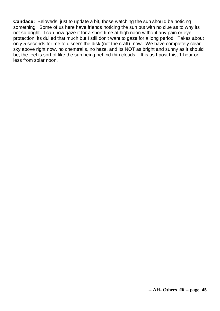**Candace:** Beloveds, just to update a bit, those watching the sun should be noticing something. Some of us here have friends noticing the sun but with no clue as to why its not so bright. I can now gaze it for a short time at high noon without any pain or eye protection, its dulled that much but I still don't want to gaze for a long period. Takes about only 5 seconds for me to discern the disk (not the craft) now. We have completely clear sky above right now, no chemtrails, no haze, and its NOT as bright and sunny as it should be, the feel is sort of like the sun being behind thin clouds. It is as I post this, 1 hour or less from solar noon.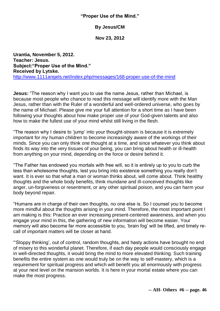#### **"Proper Use of the Mind."**

**By Jesus/CM**

**Nov 23, 2012**

**Urantia, November 5, 2012. Teacher: Jesus. Subject:"Proper Use of the Mind." Received by Lytske.** <http://www.1111angels.net/index.php/messages/168-proper-use-of-the-mind>

**Jesus:** "The reason why I want you to use the name Jesus, rather than Michael, is because most people who chance to read this message will identify more with the Man Jesus, rather than with the Ruler of a wonderful and well-ordered universe, who goes by the name of Michael. Please give me your full attention for a short time as I have been following your thoughts about how make proper use of your God-given talents and also how to make the fullest use of your mind whilst still living in the flesh.

"The reason why I desire to 'jump' into your thought-stream is because it is extremely important for my human children to become increasingly aware of the workings of their minds. Since you can only think one thought at a time, and since whatever you think about finds its way into the very tissues of your being, you can bring about health or ill-health from anything on your mind, depending on the force or desire behind it.

"The Father has endowed you mortals with free will, so it is entirely up to you to curb the less than wholesome thoughts, lest you bring into existence something you really don't want. It is ever so that what a man or woman thinks about, will come about. Think healthy thoughts and the whole body benefits, think mundane and ill-conceived thoughts like anger, un-forgiveness or resentment, or any other spiritual poison, and you can harm your body beyond repair.

"Humans are in charge of their own thoughts, no one else is. So I counsel you to become more mindful about the thoughts arising in your mind. Therefore, the most important point I am making is this: Practice an ever increasing present-centered awareness, and when you engage your mind in this, the gathering of new information will become easier. Your memory will also become far more accessible to you, 'brain fog' will be lifted, and timely recall of important matters will be closer at hand.

"'Sloppy thinking', out of control, random thoughts, and hasty actions have brought no end of misery to this wonderful planet. Therefore, if each day people would consciously engage in well-directed thoughts, it would bring the mind to more elevated thinking. Such training benefits the entire system as one would truly be on the way to self-mastery, which is a requirement for spiritual progress and which will benefit you all enormously with progress at your next level on the mansion worlds. It is here in your mortal estate where you can make the most progress.